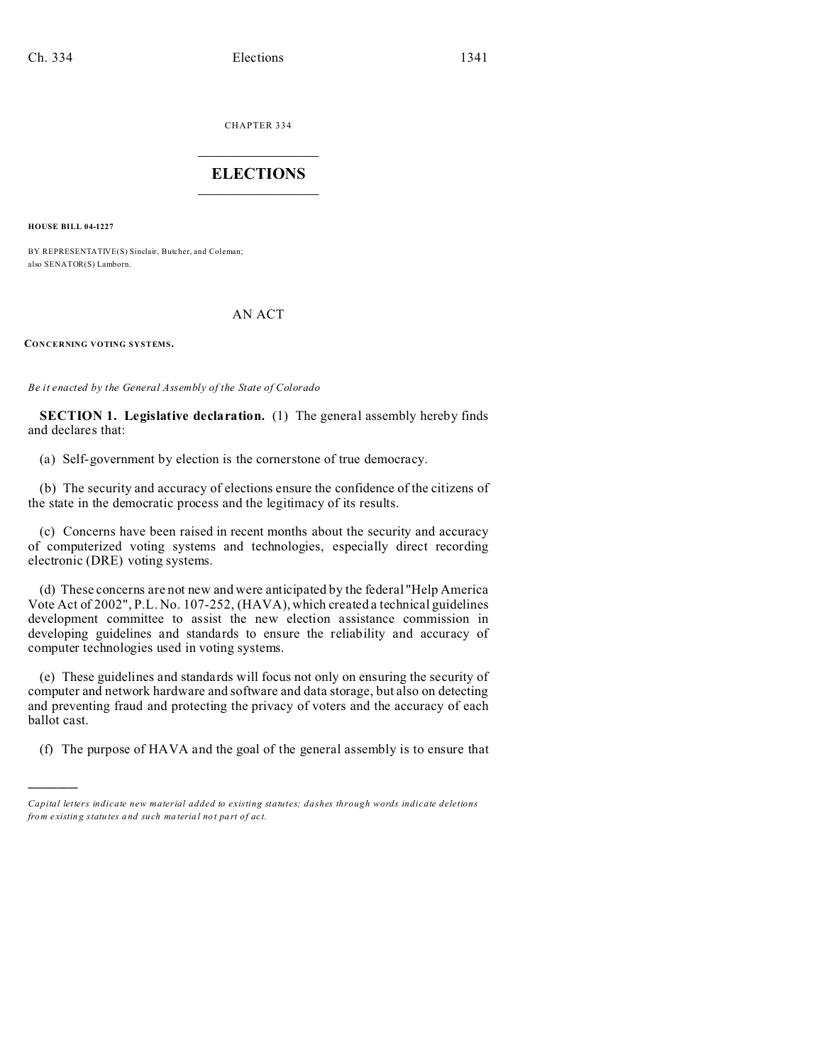CHAPTER 334  $\overline{\phantom{a}}$  , where  $\overline{\phantom{a}}$ 

## **ELECTIONS**  $\_$

**HOUSE BILL 04-1227**

)))))

BY REPRESENTATIVE(S) Sinclair, Butcher, and Coleman; also SENATOR(S) Lamborn.

### AN ACT

**CONCERNING VOTING SYSTEMS.**

*Be it enacted by the General Assembly of the State of Colorado*

**SECTION 1. Legislative declaration.** (1) The general assembly hereby finds and declares that:

(a) Self-government by election is the cornerstone of true democracy.

(b) The security and accuracy of elections ensure the confidence of the citizens of the state in the democratic process and the legitimacy of its results.

(c) Concerns have been raised in recent months about the security and accuracy of computerized voting systems and technologies, especially direct recording electronic (DRE) voting systems.

(d) These concerns are not new and were anticipated by the federal "Help America Vote Act of 2002", P.L. No. 107-252, (HAVA), which created a technical guidelines development committee to assist the new election assistance commission in developing guidelines and standards to ensure the reliability and accuracy of computer technologies used in voting systems.

(e) These guidelines and standards will focus not only on ensuring the security of computer and network hardware and software and data storage, but also on detecting and preventing fraud and protecting the privacy of voters and the accuracy of each ballot cast.

(f) The purpose of HAVA and the goal of the general assembly is to ensure that

*Capital letters indicate new material added to existing statutes; dashes through words indicate deletions from e xistin g statu tes a nd such ma teria l no t pa rt of ac t.*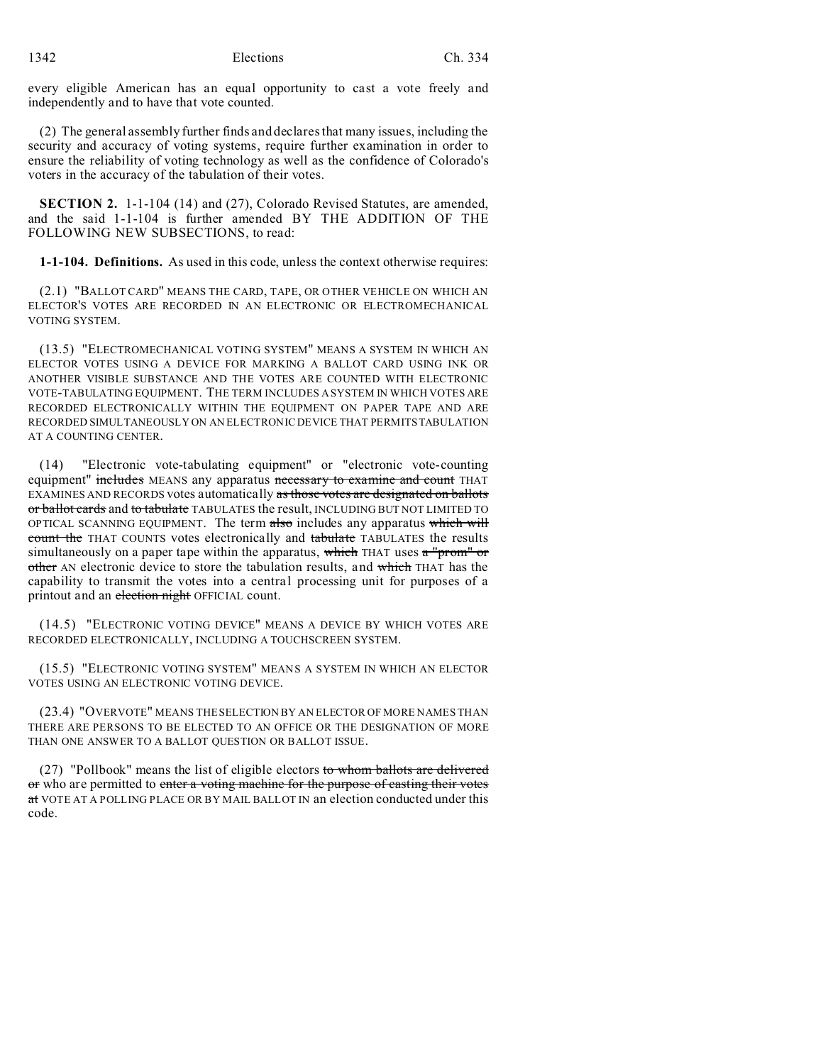every eligible American has an equal opportunity to cast a vote freely and independently and to have that vote counted.

(2) The general assembly further finds and declares that many issues, including the security and accuracy of voting systems, require further examination in order to ensure the reliability of voting technology as well as the confidence of Colorado's voters in the accuracy of the tabulation of their votes.

**SECTION 2.** 1-1-104 (14) and (27), Colorado Revised Statutes, are amended, and the said 1-1-104 is further amended BY THE ADDITION OF THE FOLLOWING NEW SUBSECTIONS, to read:

**1-1-104. Definitions.** As used in this code, unless the context otherwise requires:

(2.1) "BALLOT CARD" MEANS THE CARD, TAPE, OR OTHER VEHICLE ON WHICH AN ELECTOR'S VOTES ARE RECORDED IN AN ELECTRONIC OR ELECTROMECHANICAL VOTING SYSTEM.

(13.5) "ELECTROMECHANICAL VOTING SYSTEM" MEANS A SYSTEM IN WHICH AN ELECTOR VOTES USING A DEVICE FOR MARKING A BALLOT CARD USING INK OR ANOTHER VISIBLE SUBSTANCE AND THE VOTES ARE COUNTED WITH ELECTRONIC VOTE-TABULATING EQUIPMENT. THE TERM INCLUDES A SYSTEM IN WHICH VOTES ARE RECORDED ELECTRONICALLY WITHIN THE EQUIPMENT ON PAPER TAPE AND ARE RECORDED SIMULTANEOUSLY ON AN ELECTRONIC DEVICE THAT PERMITSTABULATION AT A COUNTING CENTER.

(14) "Electronic vote-tabulating equipment" or "electronic vote-counting equipment" includes MEANS any apparatus necessary to examine and count THAT EXAMINES AND RECORDS votes automatically as those votes are designated on ballots or ballot cards and to tabulate TABULATES the result, INCLUDING BUT NOT LIMITED TO OPTICAL SCANNING EQUIPMENT. The term also includes any apparatus which will count the THAT COUNTS votes electronically and tabulate TABULATES the results simultaneously on a paper tape within the apparatus, which THAT uses  $a^{\mu}$  when  $\sigma$ other AN electronic device to store the tabulation results, and which THAT has the capability to transmit the votes into a central processing unit for purposes of a printout and an election night OFFICIAL count.

(14.5) "ELECTRONIC VOTING DEVICE" MEANS A DEVICE BY WHICH VOTES ARE RECORDED ELECTRONICALLY, INCLUDING A TOUCHSCREEN SYSTEM.

(15.5) "ELECTRONIC VOTING SYSTEM" MEANS A SYSTEM IN WHICH AN ELECTOR VOTES USING AN ELECTRONIC VOTING DEVICE.

(23.4) "OVERVOTE" MEANS THE SELECTION BY AN ELECTOR OF MORE NAMES THAN THERE ARE PERSONS TO BE ELECTED TO AN OFFICE OR THE DESIGNATION OF MORE THAN ONE ANSWER TO A BALLOT QUESTION OR BALLOT ISSUE.

(27) "Pollbook" means the list of eligible electors to whom ballots are delivered or who are permitted to enter a voting machine for the purpose of casting their votes at VOTE AT A POLLING PLACE OR BY MAIL BALLOT IN an election conducted under this code.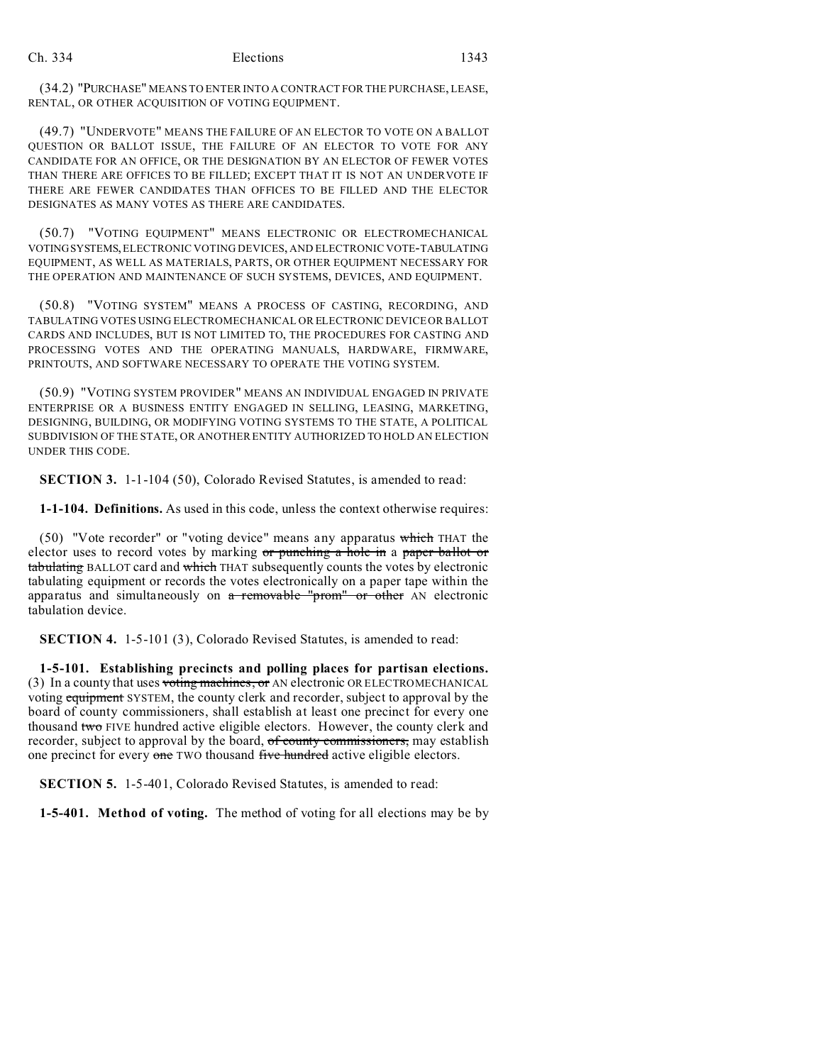(34.2) "PURCHASE" MEANS TO ENTER INTO A CONTRACT FOR THE PURCHASE, LEASE, RENTAL, OR OTHER ACQUISITION OF VOTING EQUIPMENT.

(49.7) "UNDERVOTE" MEANS THE FAILURE OF AN ELECTOR TO VOTE ON A BALLOT QUESTION OR BALLOT ISSUE, THE FAILURE OF AN ELECTOR TO VOTE FOR ANY CANDIDATE FOR AN OFFICE, OR THE DESIGNATION BY AN ELECTOR OF FEWER VOTES THAN THERE ARE OFFICES TO BE FILLED; EXCEPT THAT IT IS NOT AN UNDERVOTE IF THERE ARE FEWER CANDIDATES THAN OFFICES TO BE FILLED AND THE ELECTOR DESIGNATES AS MANY VOTES AS THERE ARE CANDIDATES.

(50.7) "VOTING EQUIPMENT" MEANS ELECTRONIC OR ELECTROMECHANICAL VOTINGSYSTEMS, ELECTRONIC VOTING DEVICES, AND ELECTRONIC VOTE-TABULATING EQUIPMENT, AS WELL AS MATERIALS, PARTS, OR OTHER EQUIPMENT NECESSARY FOR THE OPERATION AND MAINTENANCE OF SUCH SYSTEMS, DEVICES, AND EQUIPMENT.

(50.8) "VOTING SYSTEM" MEANS A PROCESS OF CASTING, RECORDING, AND TABULATING VOTES USING ELECTROMECHANICAL OR ELECTRONIC DEVICE OR BALLOT CARDS AND INCLUDES, BUT IS NOT LIMITED TO, THE PROCEDURES FOR CASTING AND PROCESSING VOTES AND THE OPERATING MANUALS, HARDWARE, FIRMWARE, PRINTOUTS, AND SOFTWARE NECESSARY TO OPERATE THE VOTING SYSTEM.

(50.9) "VOTING SYSTEM PROVIDER" MEANS AN INDIVIDUAL ENGAGED IN PRIVATE ENTERPRISE OR A BUSINESS ENTITY ENGAGED IN SELLING, LEASING, MARKETING, DESIGNING, BUILDING, OR MODIFYING VOTING SYSTEMS TO THE STATE, A POLITICAL SUBDIVISION OF THE STATE, OR ANOTHER ENTITY AUTHORIZED TO HOLD AN ELECTION UNDER THIS CODE.

**SECTION 3.** 1-1-104 (50), Colorado Revised Statutes, is amended to read:

**1-1-104. Definitions.** As used in this code, unless the context otherwise requires:

(50) "Vote recorder" or "voting device" means any apparatus which THAT the elector uses to record votes by marking or punching a hole in a paper ballot or tabulating BALLOT card and which THAT subsequently counts the votes by electronic tabulating equipment or records the votes electronically on a paper tape within the apparatus and simultaneously on  $a$  removable "prom" or other AN electronic tabulation device.

**SECTION 4.** 1-5-101 (3), Colorado Revised Statutes, is amended to read:

**1-5-101. Establishing precincts and polling places for partisan elections.** (3) In a county that uses voting machines, or AN electronic OR ELECTROMECHANICAL voting equipment SYSTEM, the county clerk and recorder, subject to approval by the board of county commissioners, shall establish at least one precinct for every one thousand two FIVE hundred active eligible electors. However, the county clerk and recorder, subject to approval by the board, of county commissioners, may establish one precinct for every one TWO thousand five hundred active eligible electors.

**SECTION 5.** 1-5-401, Colorado Revised Statutes, is amended to read:

**1-5-401. Method of voting.** The method of voting for all elections may be by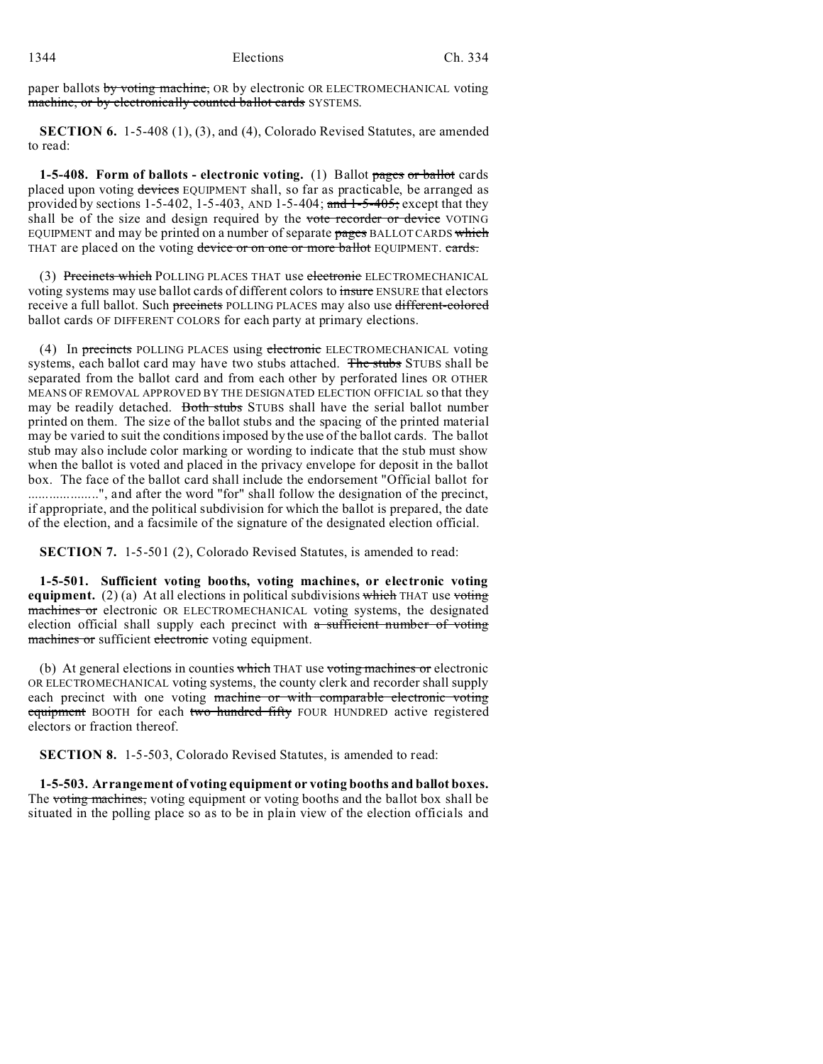paper ballots by voting machine, OR by electronic OR ELECTROMECHANICAL voting machine, or by electronically counted ballot cards SYSTEMS.

**SECTION 6.** 1-5-408 (1), (3), and (4), Colorado Revised Statutes, are amended to read:

**1-5-408. Form of ballots - electronic voting.** (1) Ballot pages or ballot cards placed upon voting devices EQUIPMENT shall, so far as practicable, be arranged as provided by sections  $1-5-402$ ,  $1-5-403$ , AND  $1-5-404$ ; and  $1-5-405$ ; except that they shall be of the size and design required by the vote recorder or device VOTING EQUIPMENT and may be printed on a number of separate pages BALLOT CARDS which THAT are placed on the voting device or on one or more ballot EQUIPMENT. cards.

(3) Precincts which POLLING PLACES THAT use electronic ELECTROMECHANICAL voting systems may use ballot cards of different colors to insure ENSURE that electors receive a full ballot. Such precincts POLLING PLACES may also use different-colored ballot cards OF DIFFERENT COLORS for each party at primary elections.

(4) In precincts POLLING PLACES using electronic ELECTROMECHANICAL voting systems, each ballot card may have two stubs attached. The stubs STUBS shall be separated from the ballot card and from each other by perforated lines OR OTHER MEANS OF REMOVAL APPROVED BY THE DESIGNATED ELECTION OFFICIAL so that they may be readily detached. Both stubs STUBS shall have the serial ballot number printed on them. The size of the ballot stubs and the spacing of the printed material may be varied to suit the conditions imposed by the use of the ballot cards. The ballot stub may also include color marking or wording to indicate that the stub must show when the ballot is voted and placed in the privacy envelope for deposit in the ballot box. The face of the ballot card shall include the endorsement "Official ballot for ....................", and after the word "for" shall follow the designation of the precinct, if appropriate, and the political subdivision for which the ballot is prepared, the date of the election, and a facsimile of the signature of the designated election official.

**SECTION 7.** 1-5-501 (2), Colorado Revised Statutes, is amended to read:

**1-5-501. Sufficient voting booths, voting machines, or electronic voting equipment.** (2) (a) At all elections in political subdivisions which THAT use voting machines or electronic OR ELECTROMECHANICAL voting systems, the designated election official shall supply each precinct with a sufficient number of voting machines or sufficient electronic voting equipment.

(b) At general elections in counties which THAT use voting machines or electronic OR ELECTROMECHANICAL voting systems, the county clerk and recorder shall supply each precinct with one voting machine or with comparable electronic voting equipment BOOTH for each two hundred fifty FOUR HUNDRED active registered electors or fraction thereof.

**SECTION 8.** 1-5-503, Colorado Revised Statutes, is amended to read:

**1-5-503. Arrangement of voting equipment or voting booths and ballot boxes.** The voting machines, voting equipment or voting booths and the ballot box shall be situated in the polling place so as to be in plain view of the election officials and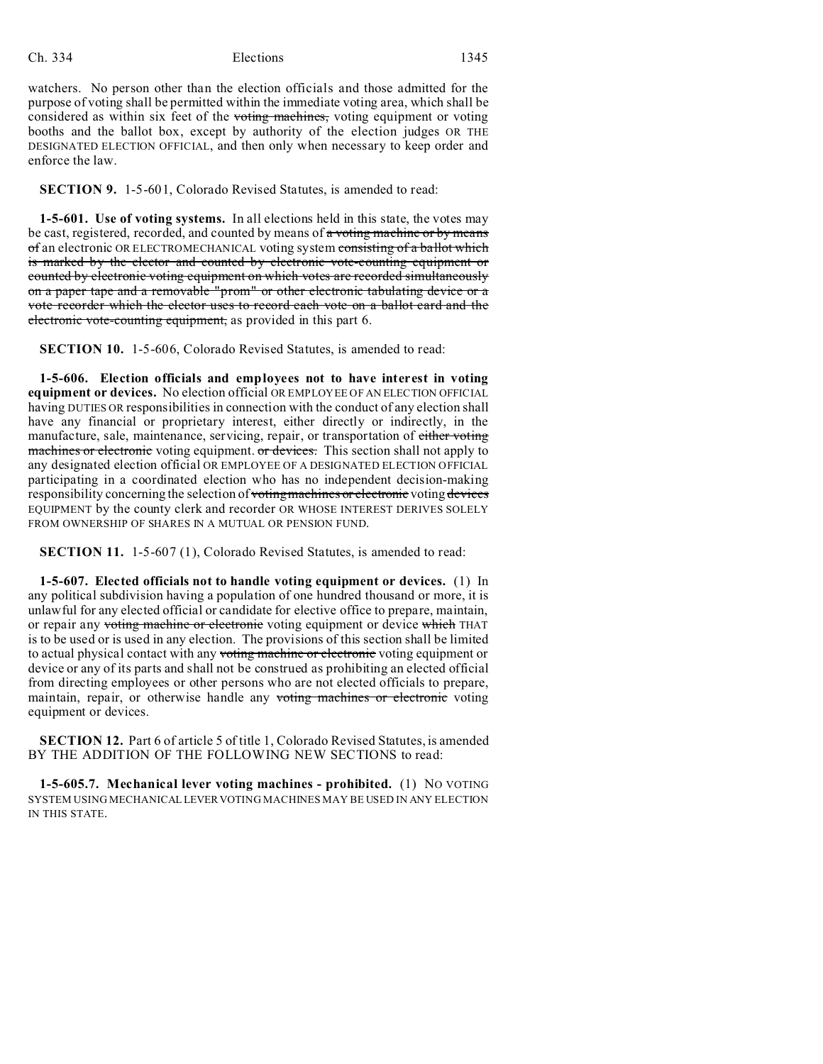watchers. No person other than the election officials and those admitted for the purpose of voting shall be permitted within the immediate voting area, which shall be considered as within six feet of the voting machines, voting equipment or voting booths and the ballot box, except by authority of the election judges OR THE DESIGNATED ELECTION OFFICIAL, and then only when necessary to keep order and enforce the law.

**SECTION 9.** 1-5-601, Colorado Revised Statutes, is amended to read:

**1-5-601. Use of voting systems.** In all elections held in this state, the votes may be cast, registered, recorded, and counted by means of a voting machine or by means of an electronic OR ELECTROMECHANICAL voting system consisting of a ballot which is marked by the elector and counted by electronic vote-counting equipment or counted by electronic voting equipment on which votes are recorded simultaneously on a paper tape and a removable "prom" or other electronic tabulating device or a vote recorder which the elector uses to record each vote on a ballot card and the electronic vote-counting equipment, as provided in this part 6.

**SECTION 10.** 1-5-606, Colorado Revised Statutes, is amended to read:

**1-5-606. Election officials and employees not to have interest in voting equipment or devices.** No election official OR EMPLOYEE OF AN ELECTION OFFICIAL having DUTIES OR responsibilities in connection with the conduct of any election shall have any financial or proprietary interest, either directly or indirectly, in the manufacture, sale, maintenance, servicing, repair, or transportation of either voting machines or electronic voting equipment. or devices. This section shall not apply to any designated election official OR EMPLOYEE OF A DESIGNATED ELECTION OFFICIAL participating in a coordinated election who has no independent decision-making responsibility concerning the selection of voting machines or electronic voting devices EQUIPMENT by the county clerk and recorder OR WHOSE INTEREST DERIVES SOLELY FROM OWNERSHIP OF SHARES IN A MUTUAL OR PENSION FUND.

**SECTION 11.** 1-5-607 (1), Colorado Revised Statutes, is amended to read:

**1-5-607. Elected officials not to handle voting equipment or devices.** (1) In any political subdivision having a population of one hundred thousand or more, it is unlawful for any elected official or candidate for elective office to prepare, maintain, or repair any voting machine or electronic voting equipment or device which THAT is to be used or is used in any election. The provisions of this section shall be limited to actual physical contact with any voting machine or electronic voting equipment or device or any of its parts and shall not be construed as prohibiting an elected official from directing employees or other persons who are not elected officials to prepare, maintain, repair, or otherwise handle any voting machines or electronic voting equipment or devices.

**SECTION 12.** Part 6 of article 5 of title 1, Colorado Revised Statutes, is amended BY THE ADDITION OF THE FOLLOWING NEW SECTIONS to read:

**1-5-605.7. Mechanical lever voting machines - prohibited.** (1) NO VOTING SYSTEM USING MECHANICAL LEVER VOTING MACHINES MAY BE USED IN ANY ELECTION IN THIS STATE.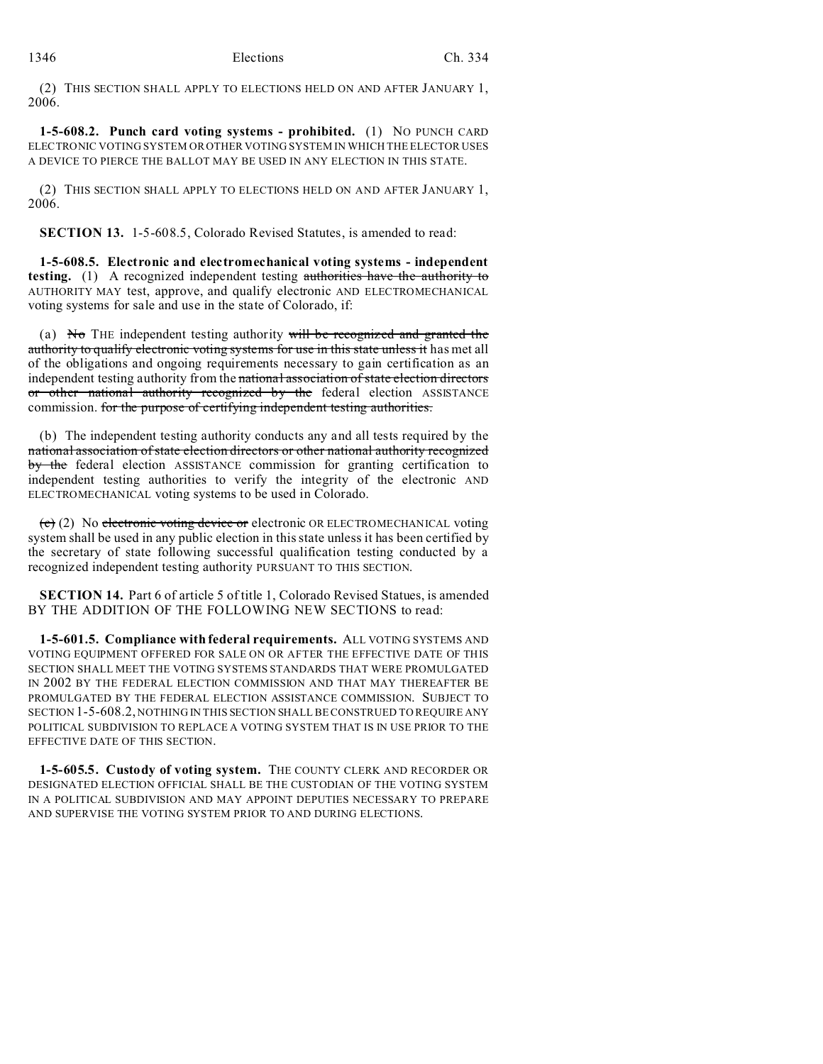(2) THIS SECTION SHALL APPLY TO ELECTIONS HELD ON AND AFTER JANUARY 1, 2006.

**1-5-608.2. Punch card voting systems - prohibited.** (1) NO PUNCH CARD ELECTRONIC VOTING SYSTEM OR OTHER VOTING SYSTEM IN WHICH THE ELECTOR USES A DEVICE TO PIERCE THE BALLOT MAY BE USED IN ANY ELECTION IN THIS STATE.

(2) THIS SECTION SHALL APPLY TO ELECTIONS HELD ON AND AFTER JANUARY 1, 2006.

**SECTION 13.** 1-5-608.5, Colorado Revised Statutes, is amended to read:

**1-5-608.5. Electronic and electromechanical voting systems - independent testing.** (1) A recognized independent testing authorities have the authority to AUTHORITY MAY test, approve, and qualify electronic AND ELECTROMECHANICAL voting systems for sale and use in the state of Colorado, if:

(a) No THE independent testing authority will be recognized and granted the authority to qualify electronic voting systems for use in this state unless it has met all of the obligations and ongoing requirements necessary to gain certification as an independent testing authority from the national association of state election directors or other national authority recognized by the federal election ASSISTANCE commission. for the purpose of certifying independent testing authorities.

(b) The independent testing authority conducts any and all tests required by the national association of state election directors or other national authority recognized by the federal election ASSISTANCE commission for granting certification to independent testing authorities to verify the integrity of the electronic AND ELECTROMECHANICAL voting systems to be used in Colorado.

(c) (2) No electronic voting device or electronic OR ELECTROMECHANICAL voting system shall be used in any public election in this state unless it has been certified by the secretary of state following successful qualification testing conducted by a recognized independent testing authority PURSUANT TO THIS SECTION.

**SECTION 14.** Part 6 of article 5 of title 1, Colorado Revised Statues, is amended BY THE ADDITION OF THE FOLLOWING NEW SECTIONS to read:

**1-5-601.5. Compliance with federal requirements.** ALL VOTING SYSTEMS AND VOTING EQUIPMENT OFFERED FOR SALE ON OR AFTER THE EFFECTIVE DATE OF THIS SECTION SHALL MEET THE VOTING SYSTEMS STANDARDS THAT WERE PROMULGATED IN 2002 BY THE FEDERAL ELECTION COMMISSION AND THAT MAY THEREAFTER BE PROMULGATED BY THE FEDERAL ELECTION ASSISTANCE COMMISSION. SUBJECT TO SECTION 1-5-608.2, NOTHING IN THIS SECTION SHALL BE CONSTRUED TO REQUIRE ANY POLITICAL SUBDIVISION TO REPLACE A VOTING SYSTEM THAT IS IN USE PRIOR TO THE EFFECTIVE DATE OF THIS SECTION.

**1-5-605.5. Custody of voting system.** THE COUNTY CLERK AND RECORDER OR DESIGNATED ELECTION OFFICIAL SHALL BE THE CUSTODIAN OF THE VOTING SYSTEM IN A POLITICAL SUBDIVISION AND MAY APPOINT DEPUTIES NECESSARY TO PREPARE AND SUPERVISE THE VOTING SYSTEM PRIOR TO AND DURING ELECTIONS.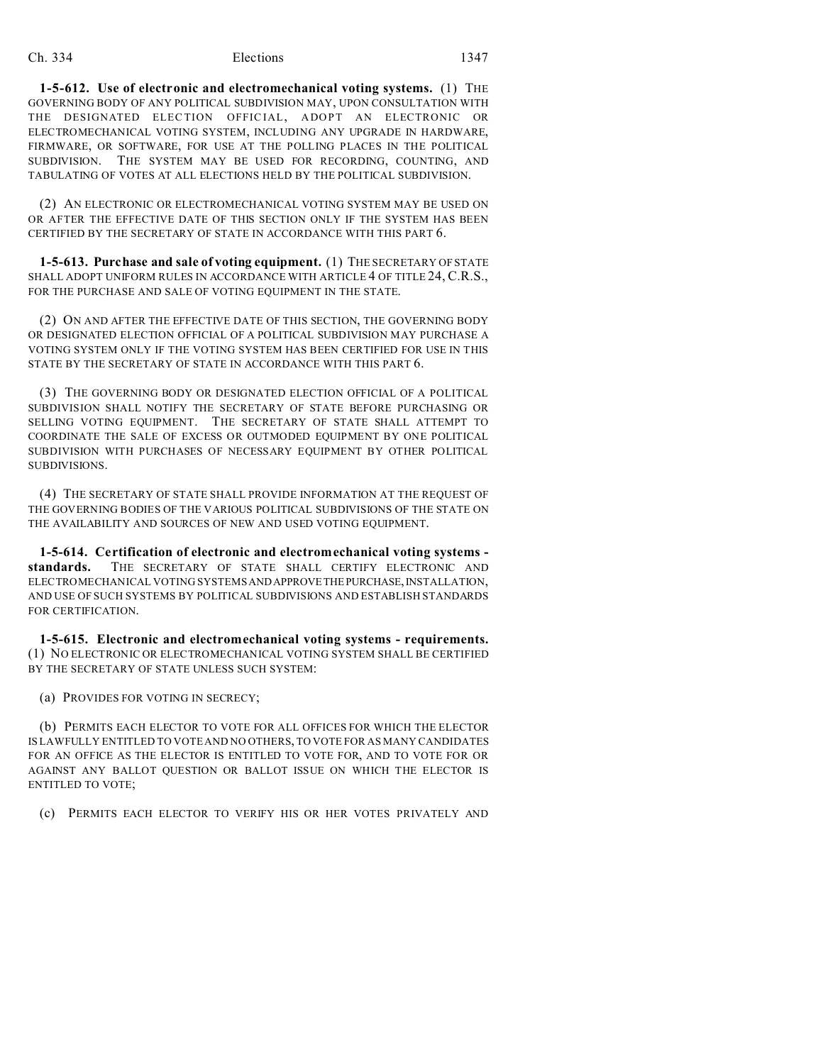**1-5-612. Use of electronic and electromechanical voting systems.** (1) THE GOVERNING BODY OF ANY POLITICAL SUBDIVISION MAY, UPON CONSULTATION WITH THE DESIGNATED ELECTION OFFICIAL, ADOPT AN ELECTRONIC OR ELECTROMECHANICAL VOTING SYSTEM, INCLUDING ANY UPGRADE IN HARDWARE, FIRMWARE, OR SOFTWARE, FOR USE AT THE POLLING PLACES IN THE POLITICAL SUBDIVISION. THE SYSTEM MAY BE USED FOR RECORDING, COUNTING, AND TABULATING OF VOTES AT ALL ELECTIONS HELD BY THE POLITICAL SUBDIVISION.

(2) AN ELECTRONIC OR ELECTROMECHANICAL VOTING SYSTEM MAY BE USED ON OR AFTER THE EFFECTIVE DATE OF THIS SECTION ONLY IF THE SYSTEM HAS BEEN CERTIFIED BY THE SECRETARY OF STATE IN ACCORDANCE WITH THIS PART 6.

**1-5-613. Purchase and sale of voting equipment.** (1) THE SECRETARY OF STATE SHALL ADOPT UNIFORM RULES IN ACCORDANCE WITH ARTICLE 4 OF TITLE 24, C.R.S., FOR THE PURCHASE AND SALE OF VOTING EQUIPMENT IN THE STATE.

(2) ON AND AFTER THE EFFECTIVE DATE OF THIS SECTION, THE GOVERNING BODY OR DESIGNATED ELECTION OFFICIAL OF A POLITICAL SUBDIVISION MAY PURCHASE A VOTING SYSTEM ONLY IF THE VOTING SYSTEM HAS BEEN CERTIFIED FOR USE IN THIS STATE BY THE SECRETARY OF STATE IN ACCORDANCE WITH THIS PART 6.

(3) THE GOVERNING BODY OR DESIGNATED ELECTION OFFICIAL OF A POLITICAL SUBDIVISION SHALL NOTIFY THE SECRETARY OF STATE BEFORE PURCHASING OR SELLING VOTING EQUIPMENT. THE SECRETARY OF STATE SHALL ATTEMPT TO COORDINATE THE SALE OF EXCESS OR OUTMODED EQUIPMENT BY ONE POLITICAL SUBDIVISION WITH PURCHASES OF NECESSARY EQUIPMENT BY OTHER POLITICAL SUBDIVISIONS.

(4) THE SECRETARY OF STATE SHALL PROVIDE INFORMATION AT THE REQUEST OF THE GOVERNING BODIES OF THE VARIOUS POLITICAL SUBDIVISIONS OF THE STATE ON THE AVAILABILITY AND SOURCES OF NEW AND USED VOTING EQUIPMENT.

**1-5-614. Certification of electronic and electromechanical voting systems standards.** THE SECRETARY OF STATE SHALL CERTIFY ELECTRONIC AND ELECTROMECHANICAL VOTING SYSTEMS AND APPROVE THE PURCHASE, INSTALLATION, AND USE OF SUCH SYSTEMS BY POLITICAL SUBDIVISIONS AND ESTABLISH STANDARDS FOR CERTIFICATION.

**1-5-615. Electronic and electromechanical voting systems - requirements.** (1) NO ELECTRONIC OR ELECTROMECHANICAL VOTING SYSTEM SHALL BE CERTIFIED BY THE SECRETARY OF STATE UNLESS SUCH SYSTEM:

(a) PROVIDES FOR VOTING IN SECRECY;

(b) PERMITS EACH ELECTOR TO VOTE FOR ALL OFFICES FOR WHICH THE ELECTOR IS LAWFULLY ENTITLED TO VOTE AND NO OTHERS, TO VOTE FOR AS MANY CANDIDATES FOR AN OFFICE AS THE ELECTOR IS ENTITLED TO VOTE FOR, AND TO VOTE FOR OR AGAINST ANY BALLOT QUESTION OR BALLOT ISSUE ON WHICH THE ELECTOR IS ENTITLED TO VOTE;

(c) PERMITS EACH ELECTOR TO VERIFY HIS OR HER VOTES PRIVATELY AND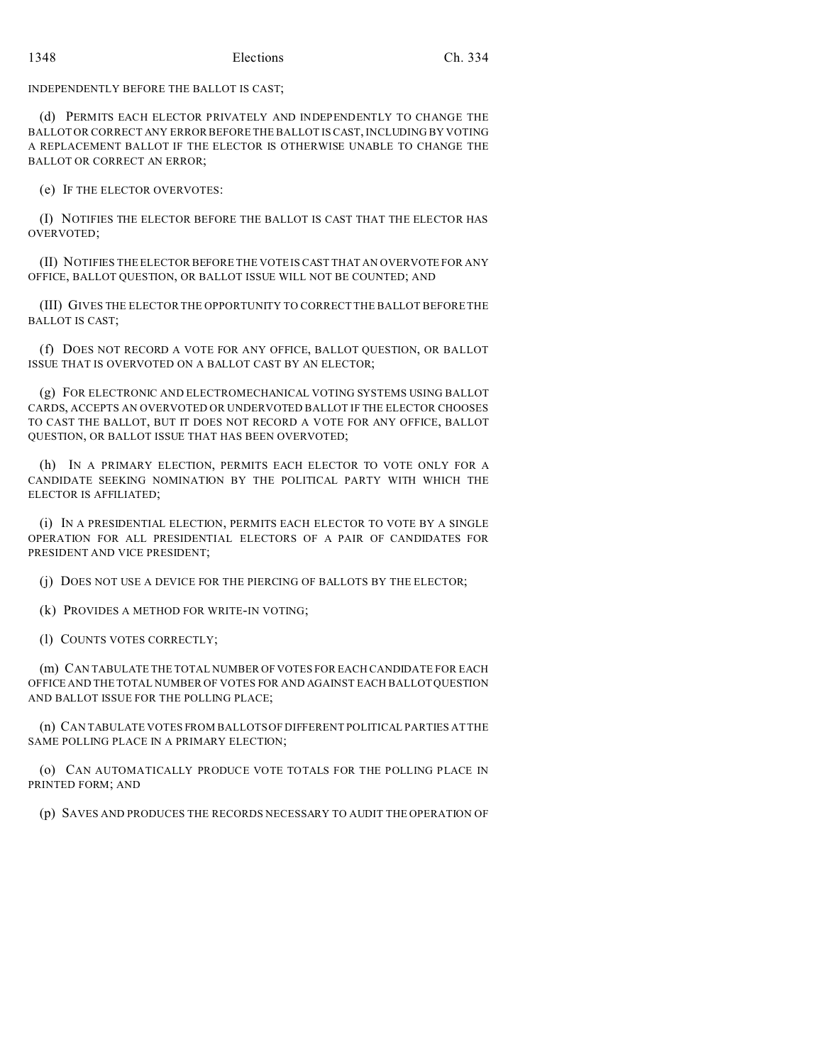INDEPENDENTLY BEFORE THE BALLOT IS CAST;

(d) PERMITS EACH ELECTOR PRIVATELY AND INDEPENDENTLY TO CHANGE THE BALLOT OR CORRECT ANY ERROR BEFORE THE BALLOT IS CAST, INCLUDING BY VOTING A REPLACEMENT BALLOT IF THE ELECTOR IS OTHERWISE UNABLE TO CHANGE THE BALLOT OR CORRECT AN ERROR;

(e) IF THE ELECTOR OVERVOTES:

(I) NOTIFIES THE ELECTOR BEFORE THE BALLOT IS CAST THAT THE ELECTOR HAS OVERVOTED;

(II) NOTIFIES THE ELECTOR BEFORE THE VOTE IS CAST THAT AN OVERVOTE FOR ANY OFFICE, BALLOT QUESTION, OR BALLOT ISSUE WILL NOT BE COUNTED; AND

(III) GIVES THE ELECTOR THE OPPORTUNITY TO CORRECT THE BALLOT BEFORE THE BALLOT IS CAST;

(f) DOES NOT RECORD A VOTE FOR ANY OFFICE, BALLOT QUESTION, OR BALLOT ISSUE THAT IS OVERVOTED ON A BALLOT CAST BY AN ELECTOR;

(g) FOR ELECTRONIC AND ELECTROMECHANICAL VOTING SYSTEMS USING BALLOT CARDS, ACCEPTS AN OVERVOTED OR UNDERVOTED BALLOT IF THE ELECTOR CHOOSES TO CAST THE BALLOT, BUT IT DOES NOT RECORD A VOTE FOR ANY OFFICE, BALLOT QUESTION, OR BALLOT ISSUE THAT HAS BEEN OVERVOTED;

(h) IN A PRIMARY ELECTION, PERMITS EACH ELECTOR TO VOTE ONLY FOR A CANDIDATE SEEKING NOMINATION BY THE POLITICAL PARTY WITH WHICH THE ELECTOR IS AFFILIATED;

(i) IN A PRESIDENTIAL ELECTION, PERMITS EACH ELECTOR TO VOTE BY A SINGLE OPERATION FOR ALL PRESIDENTIAL ELECTORS OF A PAIR OF CANDIDATES FOR PRESIDENT AND VICE PRESIDENT;

(j) DOES NOT USE A DEVICE FOR THE PIERCING OF BALLOTS BY THE ELECTOR;

(k) PROVIDES A METHOD FOR WRITE-IN VOTING;

(l) COUNTS VOTES CORRECTLY;

(m) CAN TABULATE THE TOTAL NUMBER OF VOTES FOR EACH CANDIDATE FOR EACH OFFICE AND THE TOTAL NUMBER OF VOTES FOR AND AGAINST EACH BALLOT QUESTION AND BALLOT ISSUE FOR THE POLLING PLACE;

(n) CAN TABULATE VOTES FROM BALLOTS OF DIFFERENT POLITICAL PARTIES AT THE SAME POLLING PLACE IN A PRIMARY ELECTION;

(o) CAN AUTOMATICALLY PRODUCE VOTE TOTALS FOR THE POLLING PLACE IN PRINTED FORM; AND

(p) SAVES AND PRODUCES THE RECORDS NECESSARY TO AUDIT THE OPERATION OF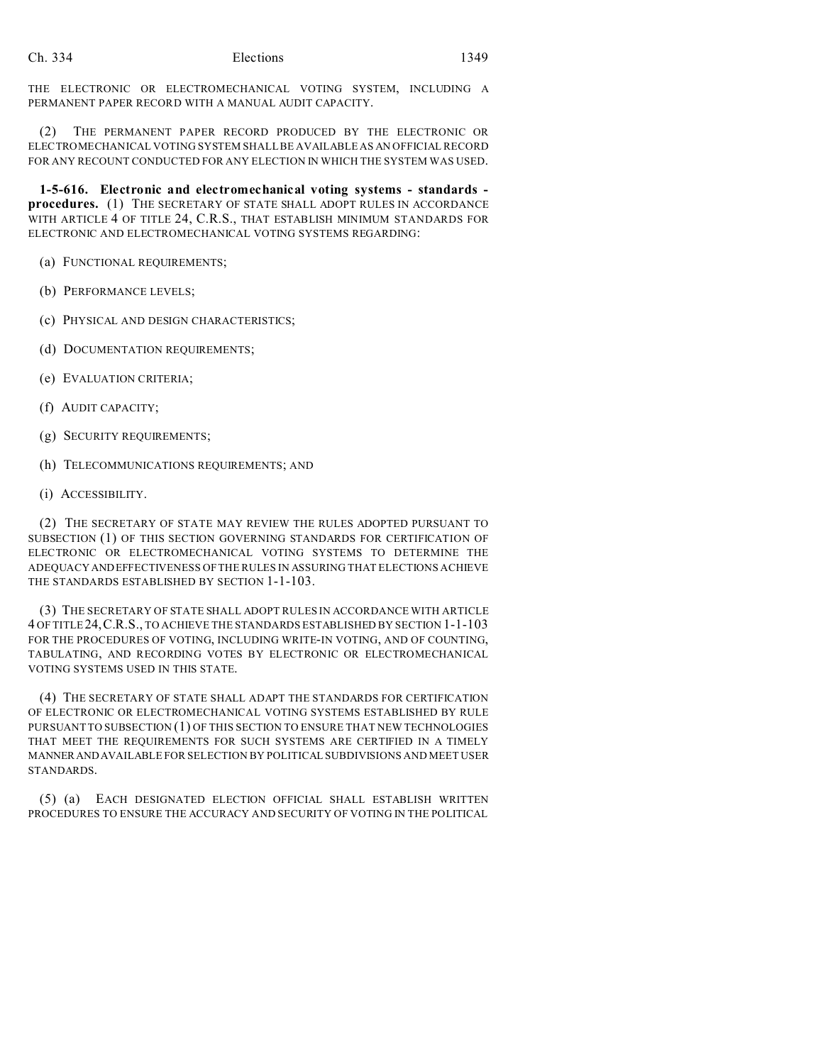THE ELECTRONIC OR ELECTROMECHANICAL VOTING SYSTEM, INCLUDING A PERMANENT PAPER RECORD WITH A MANUAL AUDIT CAPACITY.

(2) THE PERMANENT PAPER RECORD PRODUCED BY THE ELECTRONIC OR ELECTROMECHANICAL VOTING SYSTEM SHALL BE AVAILABLE AS AN OFFICIAL RECORD FOR ANY RECOUNT CONDUCTED FOR ANY ELECTION IN WHICH THE SYSTEM WAS USED.

**1-5-616. Electronic and electromechanical voting systems - standards procedures.** (1) THE SECRETARY OF STATE SHALL ADOPT RULES IN ACCORDANCE WITH ARTICLE 4 OF TITLE 24, C.R.S., THAT ESTABLISH MINIMUM STANDARDS FOR ELECTRONIC AND ELECTROMECHANICAL VOTING SYSTEMS REGARDING:

(a) FUNCTIONAL REQUIREMENTS;

- (b) PERFORMANCE LEVELS;
- (c) PHYSICAL AND DESIGN CHARACTERISTICS;
- (d) DOCUMENTATION REQUIREMENTS;
- (e) EVALUATION CRITERIA;
- (f) AUDIT CAPACITY;
- (g) SECURITY REQUIREMENTS;
- (h) TELECOMMUNICATIONS REQUIREMENTS; AND
- (i) ACCESSIBILITY.

(2) THE SECRETARY OF STATE MAY REVIEW THE RULES ADOPTED PURSUANT TO SUBSECTION (1) OF THIS SECTION GOVERNING STANDARDS FOR CERTIFICATION OF ELECTRONIC OR ELECTROMECHANICAL VOTING SYSTEMS TO DETERMINE THE ADEQUACY ANDEFFECTIVENESS OF THE RULES IN ASSURING THAT ELECTIONS ACHIEVE THE STANDARDS ESTABLISHED BY SECTION 1-1-103.

(3) THE SECRETARY OF STATE SHALL ADOPT RULES IN ACCORDANCE WITH ARTICLE 4 OF TITLE 24,C.R.S., TO ACHIEVE THE STANDARDS ESTABLISHED BY SECTION 1-1-103 FOR THE PROCEDURES OF VOTING, INCLUDING WRITE-IN VOTING, AND OF COUNTING, TABULATING, AND RECORDING VOTES BY ELECTRONIC OR ELECTROMECHANICAL VOTING SYSTEMS USED IN THIS STATE.

(4) THE SECRETARY OF STATE SHALL ADAPT THE STANDARDS FOR CERTIFICATION OF ELECTRONIC OR ELECTROMECHANICAL VOTING SYSTEMS ESTABLISHED BY RULE PURSUANT TO SUBSECTION (1) OF THIS SECTION TO ENSURE THAT NEW TECHNOLOGIES THAT MEET THE REQUIREMENTS FOR SUCH SYSTEMS ARE CERTIFIED IN A TIMELY MANNERANDAVAILABLE FOR SELECTION BY POLITICAL SUBDIVISIONS AND MEET USER STANDARDS.

(5) (a) EACH DESIGNATED ELECTION OFFICIAL SHALL ESTABLISH WRITTEN PROCEDURES TO ENSURE THE ACCURACY AND SECURITY OF VOTING IN THE POLITICAL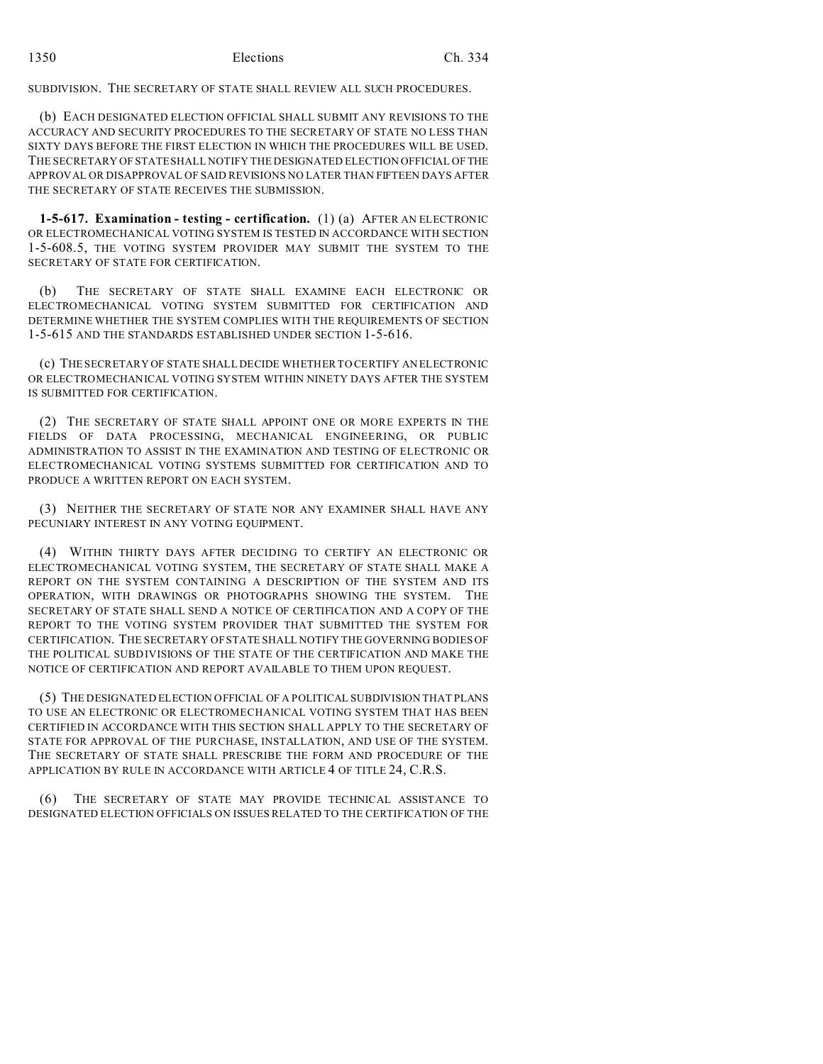SUBDIVISION. THE SECRETARY OF STATE SHALL REVIEW ALL SUCH PROCEDURES.

(b) EACH DESIGNATED ELECTION OFFICIAL SHALL SUBMIT ANY REVISIONS TO THE ACCURACY AND SECURITY PROCEDURES TO THE SECRETARY OF STATE NO LESS THAN SIXTY DAYS BEFORE THE FIRST ELECTION IN WHICH THE PROCEDURES WILL BE USED. THE SECRETARY OF STATE SHALL NOTIFY THE DESIGNATED ELECTION OFFICIAL OF THE APPROVAL OR DISAPPROVAL OF SAID REVISIONS NO LATER THAN FIFTEEN DAYS AFTER THE SECRETARY OF STATE RECEIVES THE SUBMISSION.

**1-5-617. Examination - testing - certification.** (1) (a) AFTER AN ELECTRONIC OR ELECTROMECHANICAL VOTING SYSTEM IS TESTED IN ACCORDANCE WITH SECTION 1-5-608.5, THE VOTING SYSTEM PROVIDER MAY SUBMIT THE SYSTEM TO THE SECRETARY OF STATE FOR CERTIFICATION.

(b) THE SECRETARY OF STATE SHALL EXAMINE EACH ELECTRONIC OR ELECTROMECHANICAL VOTING SYSTEM SUBMITTED FOR CERTIFICATION AND DETERMINE WHETHER THE SYSTEM COMPLIES WITH THE REQUIREMENTS OF SECTION 1-5-615 AND THE STANDARDS ESTABLISHED UNDER SECTION 1-5-616.

(c) THE SECRETARY OF STATE SHALL DECIDE WHETHER TO CERTIFY AN ELECTRONIC OR ELECTROMECHANICAL VOTING SYSTEM WITHIN NINETY DAYS AFTER THE SYSTEM IS SUBMITTED FOR CERTIFICATION.

(2) THE SECRETARY OF STATE SHALL APPOINT ONE OR MORE EXPERTS IN THE FIELDS OF DATA PROCESSING, MECHANICAL ENGINEERING, OR PUBLIC ADMINISTRATION TO ASSIST IN THE EXAMINATION AND TESTING OF ELECTRONIC OR ELECTROMECHANICAL VOTING SYSTEMS SUBMITTED FOR CERTIFICATION AND TO PRODUCE A WRITTEN REPORT ON EACH SYSTEM.

(3) NEITHER THE SECRETARY OF STATE NOR ANY EXAMINER SHALL HAVE ANY PECUNIARY INTEREST IN ANY VOTING EQUIPMENT.

(4) WITHIN THIRTY DAYS AFTER DECIDING TO CERTIFY AN ELECTRONIC OR ELECTROMECHANICAL VOTING SYSTEM, THE SECRETARY OF STATE SHALL MAKE A REPORT ON THE SYSTEM CONTAINING A DESCRIPTION OF THE SYSTEM AND ITS OPERATION, WITH DRAWINGS OR PHOTOGRAPHS SHOWING THE SYSTEM. THE SECRETARY OF STATE SHALL SEND A NOTICE OF CERTIFICATION AND A COPY OF THE REPORT TO THE VOTING SYSTEM PROVIDER THAT SUBMITTED THE SYSTEM FOR CERTIFICATION. THE SECRETARY OF STATE SHALL NOTIFY THE GOVERNING BODIES OF THE POLITICAL SUBDIVISIONS OF THE STATE OF THE CERTIFICATION AND MAKE THE NOTICE OF CERTIFICATION AND REPORT AVAILABLE TO THEM UPON REQUEST.

(5) THE DESIGNATED ELECTION OFFICIAL OF A POLITICAL SUBDIVISION THAT PLANS TO USE AN ELECTRONIC OR ELECTROMECHANICAL VOTING SYSTEM THAT HAS BEEN CERTIFIED IN ACCORDANCE WITH THIS SECTION SHALL APPLY TO THE SECRETARY OF STATE FOR APPROVAL OF THE PURCHASE, INSTALLATION, AND USE OF THE SYSTEM. THE SECRETARY OF STATE SHALL PRESCRIBE THE FORM AND PROCEDURE OF THE APPLICATION BY RULE IN ACCORDANCE WITH ARTICLE 4 OF TITLE 24, C.R.S.

(6) THE SECRETARY OF STATE MAY PROVIDE TECHNICAL ASSISTANCE TO DESIGNATED ELECTION OFFICIALS ON ISSUES RELATED TO THE CERTIFICATION OF THE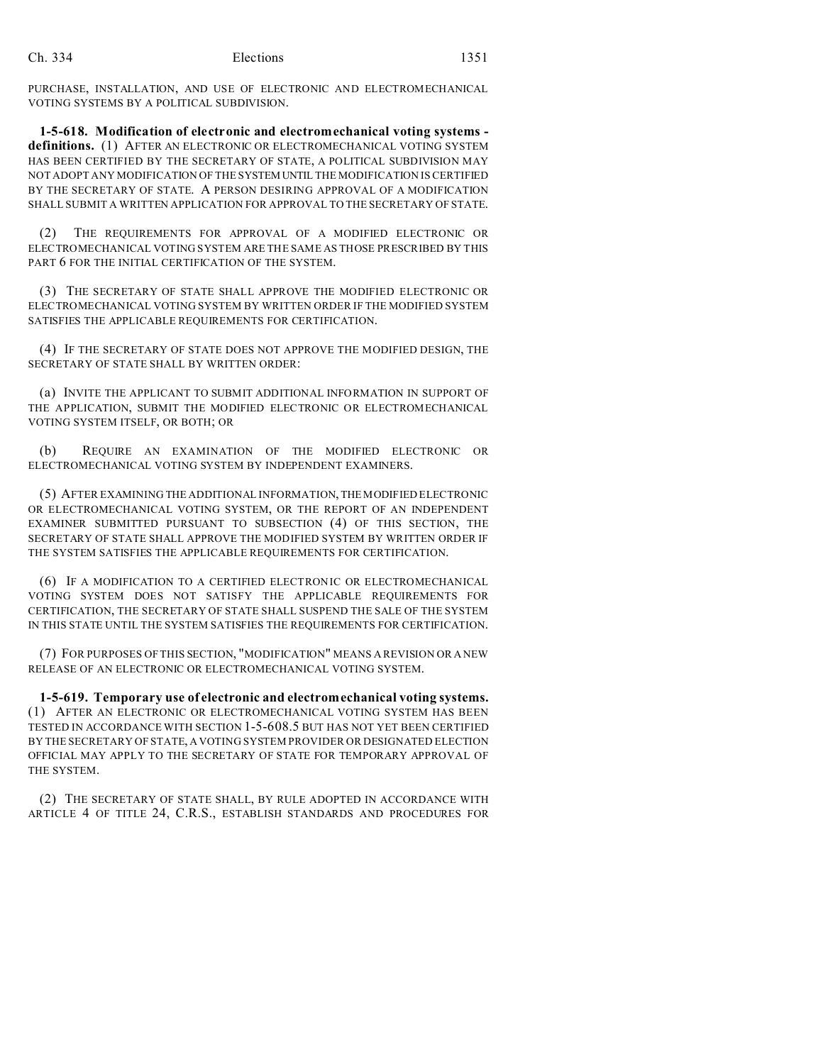PURCHASE, INSTALLATION, AND USE OF ELECTRONIC AND ELECTROMECHANICAL VOTING SYSTEMS BY A POLITICAL SUBDIVISION.

**1-5-618. Modification of electronic and electromechanical voting systems definitions.** (1) AFTER AN ELECTRONIC OR ELECTROMECHANICAL VOTING SYSTEM HAS BEEN CERTIFIED BY THE SECRETARY OF STATE, A POLITICAL SUBDIVISION MAY NOT ADOPT ANY MODIFICATION OF THE SYSTEM UNTIL THE MODIFICATION IS CERTIFIED BY THE SECRETARY OF STATE. A PERSON DESIRING APPROVAL OF A MODIFICATION SHALL SUBMIT A WRITTEN APPLICATION FOR APPROVAL TO THE SECRETARY OF STATE.

(2) THE REQUIREMENTS FOR APPROVAL OF A MODIFIED ELECTRONIC OR ELECTROMECHANICAL VOTING SYSTEM ARE THE SAME AS THOSE PRESCRIBED BY THIS PART 6 FOR THE INITIAL CERTIFICATION OF THE SYSTEM.

(3) THE SECRETARY OF STATE SHALL APPROVE THE MODIFIED ELECTRONIC OR ELECTROMECHANICAL VOTING SYSTEM BY WRITTEN ORDER IF THE MODIFIED SYSTEM SATISFIES THE APPLICABLE REQUIREMENTS FOR CERTIFICATION.

(4) IF THE SECRETARY OF STATE DOES NOT APPROVE THE MODIFIED DESIGN, THE SECRETARY OF STATE SHALL BY WRITTEN ORDER:

(a) INVITE THE APPLICANT TO SUBMIT ADDITIONAL INFORMATION IN SUPPORT OF THE APPLICATION, SUBMIT THE MODIFIED ELECTRONIC OR ELECTROMECHANICAL VOTING SYSTEM ITSELF, OR BOTH; OR

(b) REQUIRE AN EXAMINATION OF THE MODIFIED ELECTRONIC OR ELECTROMECHANICAL VOTING SYSTEM BY INDEPENDENT EXAMINERS.

(5) AFTER EXAMINING THE ADDITIONAL INFORMATION, THE MODIFIED ELECTRONIC OR ELECTROMECHANICAL VOTING SYSTEM, OR THE REPORT OF AN INDEPENDENT EXAMINER SUBMITTED PURSUANT TO SUBSECTION (4) OF THIS SECTION, THE SECRETARY OF STATE SHALL APPROVE THE MODIFIED SYSTEM BY WRITTEN ORDER IF THE SYSTEM SATISFIES THE APPLICABLE REQUIREMENTS FOR CERTIFICATION.

(6) IF A MODIFICATION TO A CERTIFIED ELECTRONIC OR ELECTROMECHANICAL VOTING SYSTEM DOES NOT SATISFY THE APPLICABLE REQUIREMENTS FOR CERTIFICATION, THE SECRETARY OF STATE SHALL SUSPEND THE SALE OF THE SYSTEM IN THIS STATE UNTIL THE SYSTEM SATISFIES THE REQUIREMENTS FOR CERTIFICATION.

(7) FOR PURPOSES OF THIS SECTION, "MODIFICATION" MEANS A REVISION OR A NEW RELEASE OF AN ELECTRONIC OR ELECTROMECHANICAL VOTING SYSTEM.

**1-5-619. Temporary use of electronic and electromechanical voting systems.** (1) AFTER AN ELECTRONIC OR ELECTROMECHANICAL VOTING SYSTEM HAS BEEN TESTED IN ACCORDANCE WITH SECTION 1-5-608.5 BUT HAS NOT YET BEEN CERTIFIED BY THE SECRETARY OF STATE, A VOTING SYSTEM PROVIDER OR DESIGNATED ELECTION OFFICIAL MAY APPLY TO THE SECRETARY OF STATE FOR TEMPORARY APPROVAL OF THE SYSTEM.

(2) THE SECRETARY OF STATE SHALL, BY RULE ADOPTED IN ACCORDANCE WITH ARTICLE 4 OF TITLE 24, C.R.S., ESTABLISH STANDARDS AND PROCEDURES FOR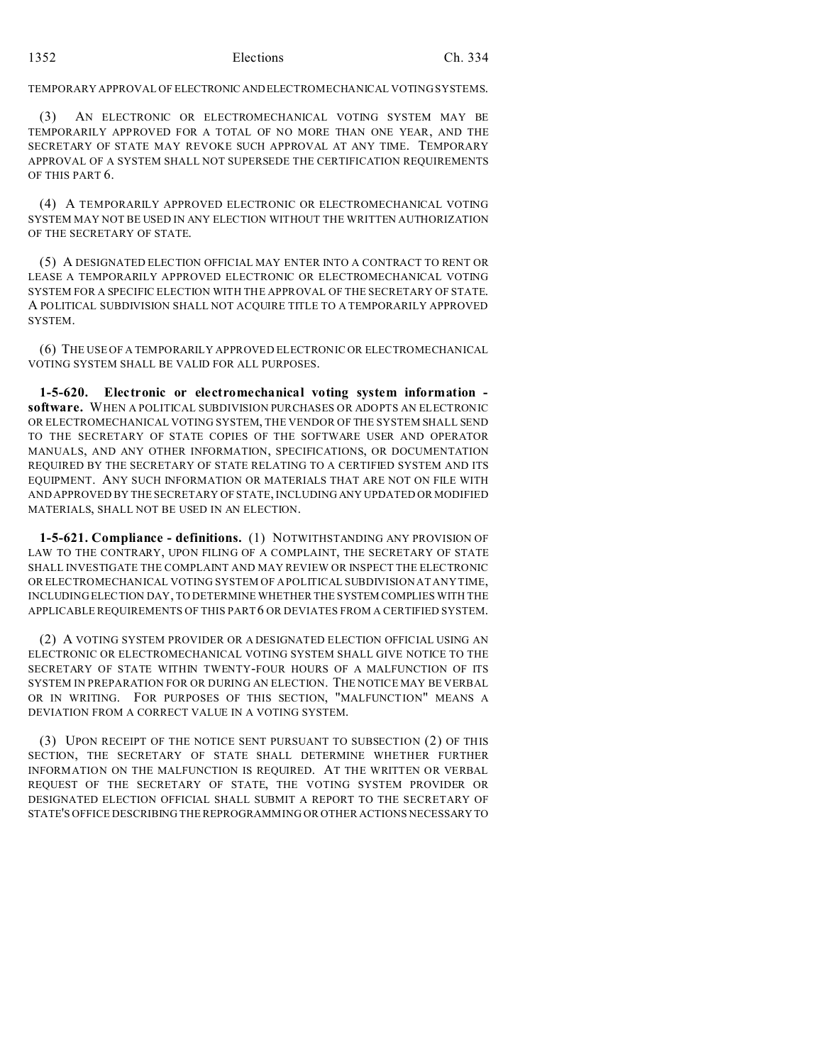# TEMPORARY APPROVAL OF ELECTRONIC ANDELECTROMECHANICAL VOTING SYSTEMS.

(3) AN ELECTRONIC OR ELECTROMECHANICAL VOTING SYSTEM MAY BE TEMPORARILY APPROVED FOR A TOTAL OF NO MORE THAN ONE YEAR, AND THE SECRETARY OF STATE MAY REVOKE SUCH APPROVAL AT ANY TIME. TEMPORARY APPROVAL OF A SYSTEM SHALL NOT SUPERSEDE THE CERTIFICATION REQUIREMENTS OF THIS PART 6.

(4) A TEMPORARILY APPROVED ELECTRONIC OR ELECTROMECHANICAL VOTING SYSTEM MAY NOT BE USED IN ANY ELECTION WITHOUT THE WRITTEN AUTHORIZATION OF THE SECRETARY OF STATE.

(5) A DESIGNATED ELECTION OFFICIAL MAY ENTER INTO A CONTRACT TO RENT OR LEASE A TEMPORARILY APPROVED ELECTRONIC OR ELECTROMECHANICAL VOTING SYSTEM FOR A SPECIFIC ELECTION WITH THE APPROVAL OF THE SECRETARY OF STATE. A POLITICAL SUBDIVISION SHALL NOT ACQUIRE TITLE TO A TEMPORARILY APPROVED SYSTEM.

(6) THE USE OF A TEMPORARILY APPROVED ELECTRONIC OR ELECTROMECHANICAL VOTING SYSTEM SHALL BE VALID FOR ALL PURPOSES.

**1-5-620. Electronic or electromechanical voting system information software.** WHEN A POLITICAL SUBDIVISION PURCHASES OR ADOPTS AN ELECTRONIC OR ELECTROMECHANICAL VOTING SYSTEM, THE VENDOR OF THE SYSTEM SHALL SEND TO THE SECRETARY OF STATE COPIES OF THE SOFTWARE USER AND OPERATOR MANUALS, AND ANY OTHER INFORMATION, SPECIFICATIONS, OR DOCUMENTATION REQUIRED BY THE SECRETARY OF STATE RELATING TO A CERTIFIED SYSTEM AND ITS EQUIPMENT. ANY SUCH INFORMATION OR MATERIALS THAT ARE NOT ON FILE WITH AND APPROVED BY THE SECRETARY OF STATE, INCLUDING ANY UPDATED OR MODIFIED MATERIALS, SHALL NOT BE USED IN AN ELECTION.

**1-5-621. Compliance - definitions.** (1) NOTWITHSTANDING ANY PROVISION OF LAW TO THE CONTRARY, UPON FILING OF A COMPLAINT, THE SECRETARY OF STATE SHALL INVESTIGATE THE COMPLAINT AND MAY REVIEW OR INSPECT THE ELECTRONIC OR ELECTROMECHANICAL VOTING SYSTEM OF A POLITICAL SUBDIVISION AT ANY TIME, INCLUDING ELECTION DAY, TO DETERMINE WHETHER THE SYSTEM COMPLIES WITH THE APPLICABLE REQUIREMENTS OF THIS PART 6 OR DEVIATES FROM A CERTIFIED SYSTEM.

(2) A VOTING SYSTEM PROVIDER OR A DESIGNATED ELECTION OFFICIAL USING AN ELECTRONIC OR ELECTROMECHANICAL VOTING SYSTEM SHALL GIVE NOTICE TO THE SECRETARY OF STATE WITHIN TWENTY-FOUR HOURS OF A MALFUNCTION OF ITS SYSTEM IN PREPARATION FOR OR DURING AN ELECTION. THE NOTICE MAY BE VERBAL OR IN WRITING. FOR PURPOSES OF THIS SECTION, "MALFUNCTION" MEANS A DEVIATION FROM A CORRECT VALUE IN A VOTING SYSTEM.

(3) UPON RECEIPT OF THE NOTICE SENT PURSUANT TO SUBSECTION (2) OF THIS SECTION, THE SECRETARY OF STATE SHALL DETERMINE WHETHER FURTHER INFORMATION ON THE MALFUNCTION IS REQUIRED. AT THE WRITTEN OR VERBAL REQUEST OF THE SECRETARY OF STATE, THE VOTING SYSTEM PROVIDER OR DESIGNATED ELECTION OFFICIAL SHALL SUBMIT A REPORT TO THE SECRETARY OF STATE'S OFFICE DESCRIBING THE REPROGRAMMING OR OTHER ACTIONS NECESSARY TO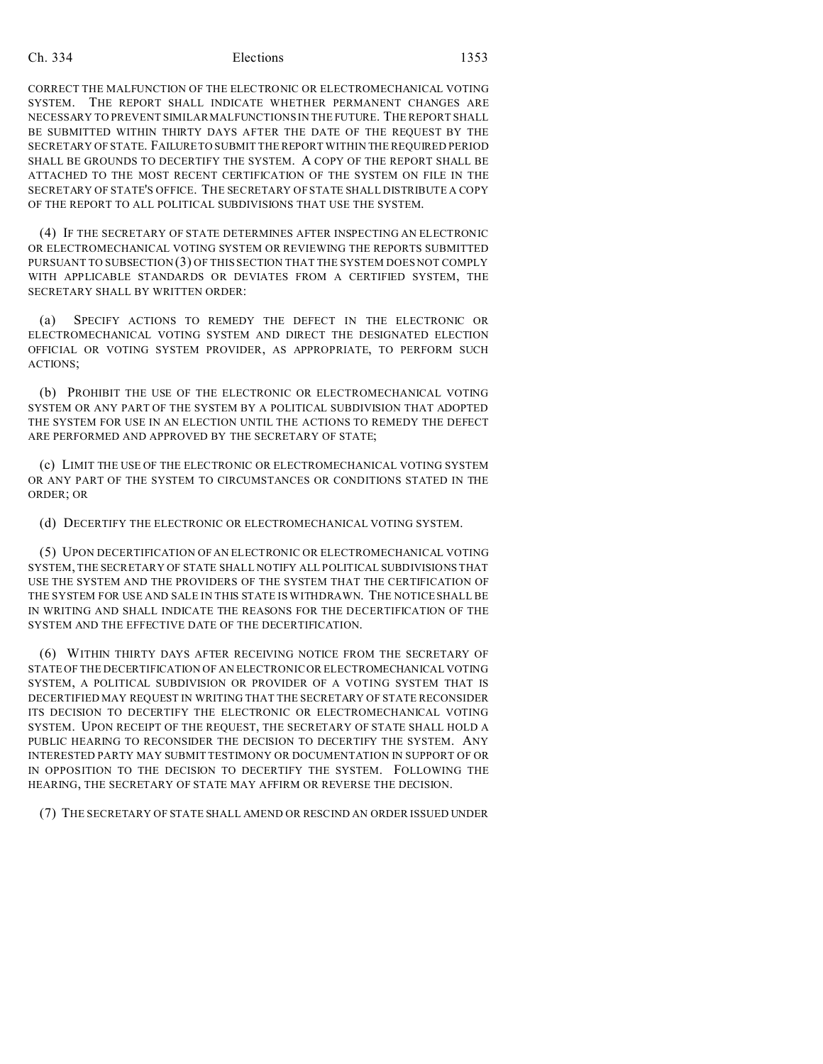CORRECT THE MALFUNCTION OF THE ELECTRONIC OR ELECTROMECHANICAL VOTING SYSTEM. THE REPORT SHALL INDICATE WHETHER PERMANENT CHANGES ARE NECESSARY TO PREVENT SIMILAR MALFUNCTIONS IN THE FUTURE. THE REPORT SHALL BE SUBMITTED WITHIN THIRTY DAYS AFTER THE DATE OF THE REQUEST BY THE SECRETARY OF STATE. FAILURE TO SUBMIT THE REPORT WITHIN THE REQUIRED PERIOD SHALL BE GROUNDS TO DECERTIFY THE SYSTEM. A COPY OF THE REPORT SHALL BE ATTACHED TO THE MOST RECENT CERTIFICATION OF THE SYSTEM ON FILE IN THE SECRETARY OF STATE'S OFFICE. THE SECRETARY OF STATE SHALL DISTRIBUTE A COPY OF THE REPORT TO ALL POLITICAL SUBDIVISIONS THAT USE THE SYSTEM.

(4) IF THE SECRETARY OF STATE DETERMINES AFTER INSPECTING AN ELECTRONIC OR ELECTROMECHANICAL VOTING SYSTEM OR REVIEWING THE REPORTS SUBMITTED PURSUANT TO SUBSECTION (3) OF THIS SECTION THAT THE SYSTEM DOES NOT COMPLY WITH APPLICABLE STANDARDS OR DEVIATES FROM A CERTIFIED SYSTEM, THE SECRETARY SHALL BY WRITTEN ORDER:

(a) SPECIFY ACTIONS TO REMEDY THE DEFECT IN THE ELECTRONIC OR ELECTROMECHANICAL VOTING SYSTEM AND DIRECT THE DESIGNATED ELECTION OFFICIAL OR VOTING SYSTEM PROVIDER, AS APPROPRIATE, TO PERFORM SUCH ACTIONS;

(b) PROHIBIT THE USE OF THE ELECTRONIC OR ELECTROMECHANICAL VOTING SYSTEM OR ANY PART OF THE SYSTEM BY A POLITICAL SUBDIVISION THAT ADOPTED THE SYSTEM FOR USE IN AN ELECTION UNTIL THE ACTIONS TO REMEDY THE DEFECT ARE PERFORMED AND APPROVED BY THE SECRETARY OF STATE;

(c) LIMIT THE USE OF THE ELECTRONIC OR ELECTROMECHANICAL VOTING SYSTEM OR ANY PART OF THE SYSTEM TO CIRCUMSTANCES OR CONDITIONS STATED IN THE ORDER; OR

(d) DECERTIFY THE ELECTRONIC OR ELECTROMECHANICAL VOTING SYSTEM.

(5) UPON DECERTIFICATION OF AN ELECTRONIC OR ELECTROMECHANICAL VOTING SYSTEM, THE SECRETARY OF STATE SHALL NOTIFY ALL POLITICAL SUBDIVISIONS THAT USE THE SYSTEM AND THE PROVIDERS OF THE SYSTEM THAT THE CERTIFICATION OF THE SYSTEM FOR USE AND SALE IN THIS STATE IS WITHDRAWN. THE NOTICE SHALL BE IN WRITING AND SHALL INDICATE THE REASONS FOR THE DECERTIFICATION OF THE SYSTEM AND THE EFFECTIVE DATE OF THE DECERTIFICATION.

(6) WITHIN THIRTY DAYS AFTER RECEIVING NOTICE FROM THE SECRETARY OF STATE OF THE DECERTIFICATION OF AN ELECTRONIC OR ELECTROMECHANICAL VOTING SYSTEM, A POLITICAL SUBDIVISION OR PROVIDER OF A VOTING SYSTEM THAT IS DECERTIFIED MAY REQUEST IN WRITING THAT THE SECRETARY OF STATE RECONSIDER ITS DECISION TO DECERTIFY THE ELECTRONIC OR ELECTROMECHANICAL VOTING SYSTEM. UPON RECEIPT OF THE REQUEST, THE SECRETARY OF STATE SHALL HOLD A PUBLIC HEARING TO RECONSIDER THE DECISION TO DECERTIFY THE SYSTEM. ANY INTERESTED PARTY MAY SUBMIT TESTIMONY OR DOCUMENTATION IN SUPPORT OF OR IN OPPOSITION TO THE DECISION TO DECERTIFY THE SYSTEM. FOLLOWING THE HEARING, THE SECRETARY OF STATE MAY AFFIRM OR REVERSE THE DECISION.

(7) THE SECRETARY OF STATE SHALL AMEND OR RESCIND AN ORDER ISSUED UNDER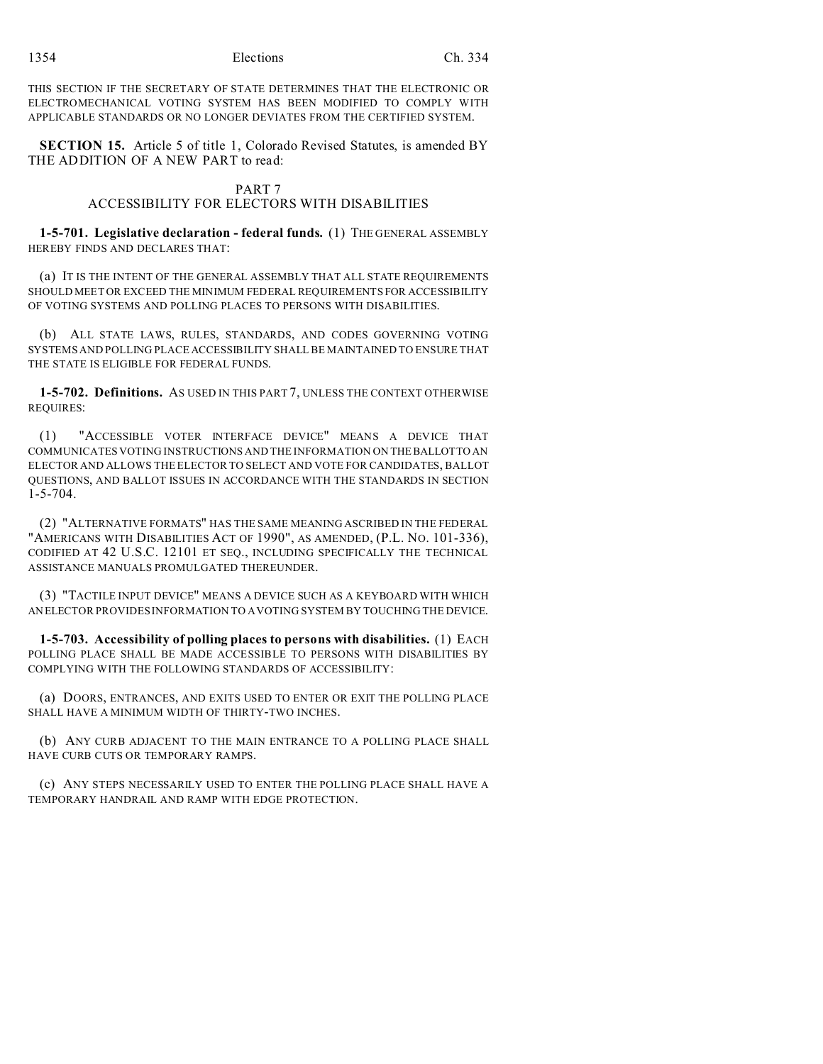THIS SECTION IF THE SECRETARY OF STATE DETERMINES THAT THE ELECTRONIC OR ELECTROMECHANICAL VOTING SYSTEM HAS BEEN MODIFIED TO COMPLY WITH APPLICABLE STANDARDS OR NO LONGER DEVIATES FROM THE CERTIFIED SYSTEM.

**SECTION 15.** Article 5 of title 1, Colorado Revised Statutes, is amended BY THE ADDITION OF A NEW PART to read:

#### PART 7

## ACCESSIBILITY FOR ELECTORS WITH DISABILITIES

**1-5-701. Legislative declaration - federal funds.** (1) THE GENERAL ASSEMBLY HEREBY FINDS AND DECLARES THAT:

(a) IT IS THE INTENT OF THE GENERAL ASSEMBLY THAT ALL STATE REQUIREMENTS SHOULD MEET OR EXCEED THE MINIMUM FEDERAL REQUIREMENTS FOR ACCESSIBILITY OF VOTING SYSTEMS AND POLLING PLACES TO PERSONS WITH DISABILITIES.

(b) ALL STATE LAWS, RULES, STANDARDS, AND CODES GOVERNING VOTING SYSTEMS AND POLLING PLACE ACCESSIBILITY SHALL BE MAINTAINED TO ENSURE THAT THE STATE IS ELIGIBLE FOR FEDERAL FUNDS.

**1-5-702. Definitions.** AS USED IN THIS PART 7, UNLESS THE CONTEXT OTHERWISE REQUIRES:

(1) "ACCESSIBLE VOTER INTERFACE DEVICE" MEANS A DEVICE THAT COMMUNICATES VOTING INSTRUCTIONS AND THE INFORMATION ON THEBALLOT TO AN ELECTOR AND ALLOWS THE ELECTOR TO SELECT AND VOTE FOR CANDIDATES, BALLOT QUESTIONS, AND BALLOT ISSUES IN ACCORDANCE WITH THE STANDARDS IN SECTION 1-5-704.

(2) "ALTERNATIVE FORMATS" HAS THE SAME MEANING ASCRIBED IN THE FEDERAL "AMERICANS WITH DISABILITIES ACT OF 1990", AS AMENDED, (P.L. NO. 101-336), CODIFIED AT 42 U.S.C. 12101 ET SEQ., INCLUDING SPECIFICALLY THE TECHNICAL ASSISTANCE MANUALS PROMULGATED THEREUNDER.

(3) "TACTILE INPUT DEVICE" MEANS A DEVICE SUCH AS A KEYBOARD WITH WHICH AN ELECTOR PROVIDES INFORMATION TO A VOTING SYSTEM BY TOUCHING THE DEVICE.

**1-5-703. Accessibility of polling places to persons with disabilities.** (1) EACH POLLING PLACE SHALL BE MADE ACCESSIBLE TO PERSONS WITH DISABILITIES BY COMPLYING WITH THE FOLLOWING STANDARDS OF ACCESSIBILITY:

(a) DOORS, ENTRANCES, AND EXITS USED TO ENTER OR EXIT THE POLLING PLACE SHALL HAVE A MINIMUM WIDTH OF THIRTY-TWO INCHES.

(b) ANY CURB ADJACENT TO THE MAIN ENTRANCE TO A POLLING PLACE SHALL HAVE CURB CUTS OR TEMPORARY RAMPS.

(c) ANY STEPS NECESSARILY USED TO ENTER THE POLLING PLACE SHALL HAVE A TEMPORARY HANDRAIL AND RAMP WITH EDGE PROTECTION.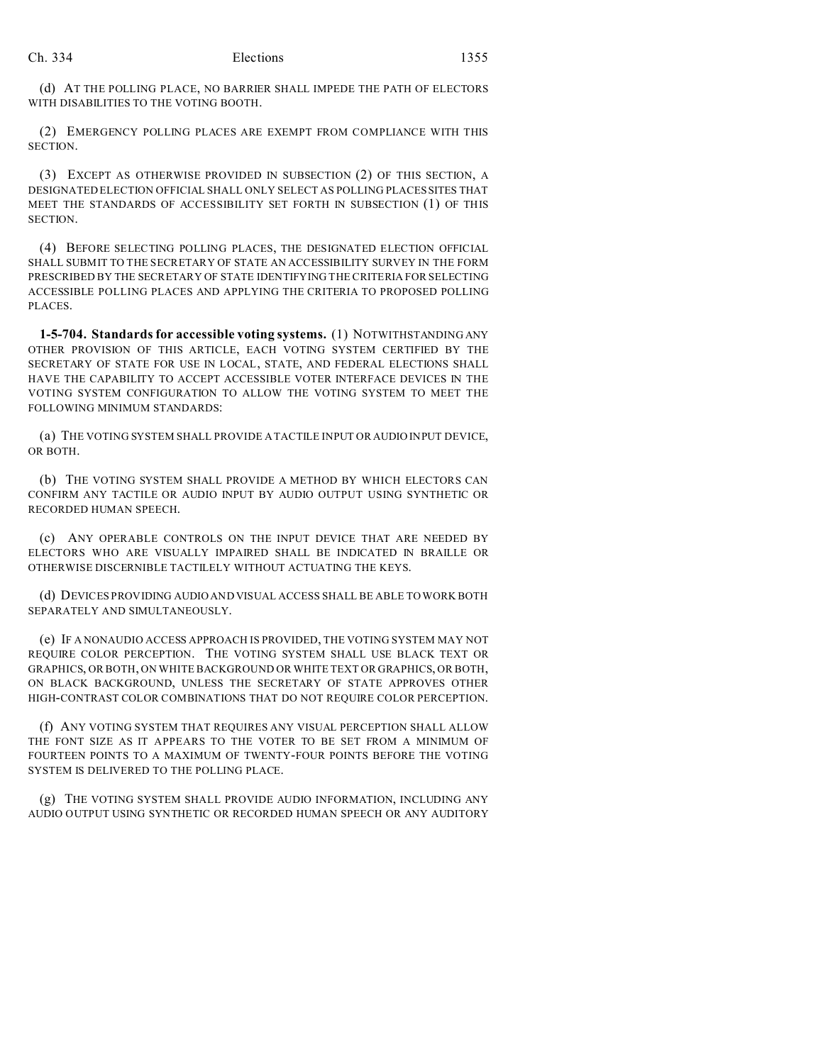(d) AT THE POLLING PLACE, NO BARRIER SHALL IMPEDE THE PATH OF ELECTORS WITH DISABILITIES TO THE VOTING BOOTH.

(2) EMERGENCY POLLING PLACES ARE EXEMPT FROM COMPLIANCE WITH THIS SECTION.

(3) EXCEPT AS OTHERWISE PROVIDED IN SUBSECTION (2) OF THIS SECTION, A DESIGNATED ELECTION OFFICIAL SHALL ONLY SELECT AS POLLING PLACES SITES THAT MEET THE STANDARDS OF ACCESSIBILITY SET FORTH IN SUBSECTION (1) OF THIS SECTION.

(4) BEFORE SELECTING POLLING PLACES, THE DESIGNATED ELECTION OFFICIAL SHALL SUBMIT TO THE SECRETARY OF STATE AN ACCESSIBILITY SURVEY IN THE FORM PRESCRIBED BY THE SECRETARY OF STATE IDENTIFYING THE CRITERIA FOR SELECTING ACCESSIBLE POLLING PLACES AND APPLYING THE CRITERIA TO PROPOSED POLLING PLACES.

**1-5-704. Standards for accessible voting systems.** (1) NOTWITHSTANDING ANY OTHER PROVISION OF THIS ARTICLE, EACH VOTING SYSTEM CERTIFIED BY THE SECRETARY OF STATE FOR USE IN LOCAL, STATE, AND FEDERAL ELECTIONS SHALL HAVE THE CAPABILITY TO ACCEPT ACCESSIBLE VOTER INTERFACE DEVICES IN THE VOTING SYSTEM CONFIGURATION TO ALLOW THE VOTING SYSTEM TO MEET THE FOLLOWING MINIMUM STANDARDS:

(a) THE VOTING SYSTEM SHALL PROVIDE A TACTILE INPUT OR AUDIO INPUT DEVICE, OR BOTH.

(b) THE VOTING SYSTEM SHALL PROVIDE A METHOD BY WHICH ELECTORS CAN CONFIRM ANY TACTILE OR AUDIO INPUT BY AUDIO OUTPUT USING SYNTHETIC OR RECORDED HUMAN SPEECH.

(c) ANY OPERABLE CONTROLS ON THE INPUT DEVICE THAT ARE NEEDED BY ELECTORS WHO ARE VISUALLY IMPAIRED SHALL BE INDICATED IN BRAILLE OR OTHERWISE DISCERNIBLE TACTILELY WITHOUT ACTUATING THE KEYS.

(d) DEVICES PROVIDING AUDIO AND VISUAL ACCESS SHALL BE ABLE TO WORK BOTH SEPARATELY AND SIMULTANEOUSLY.

(e) IF A NONAUDIO ACCESS APPROACH IS PROVIDED, THE VOTING SYSTEM MAY NOT REQUIRE COLOR PERCEPTION. THE VOTING SYSTEM SHALL USE BLACK TEXT OR GRAPHICS, OR BOTH, ON WHITE BACKGROUND OR WHITE TEXT OR GRAPHICS, OR BOTH, ON BLACK BACKGROUND, UNLESS THE SECRETARY OF STATE APPROVES OTHER HIGH-CONTRAST COLOR COMBINATIONS THAT DO NOT REQUIRE COLOR PERCEPTION.

(f) ANY VOTING SYSTEM THAT REQUIRES ANY VISUAL PERCEPTION SHALL ALLOW THE FONT SIZE AS IT APPEARS TO THE VOTER TO BE SET FROM A MINIMUM OF FOURTEEN POINTS TO A MAXIMUM OF TWENTY-FOUR POINTS BEFORE THE VOTING SYSTEM IS DELIVERED TO THE POLLING PLACE.

(g) THE VOTING SYSTEM SHALL PROVIDE AUDIO INFORMATION, INCLUDING ANY AUDIO OUTPUT USING SYNTHETIC OR RECORDED HUMAN SPEECH OR ANY AUDITORY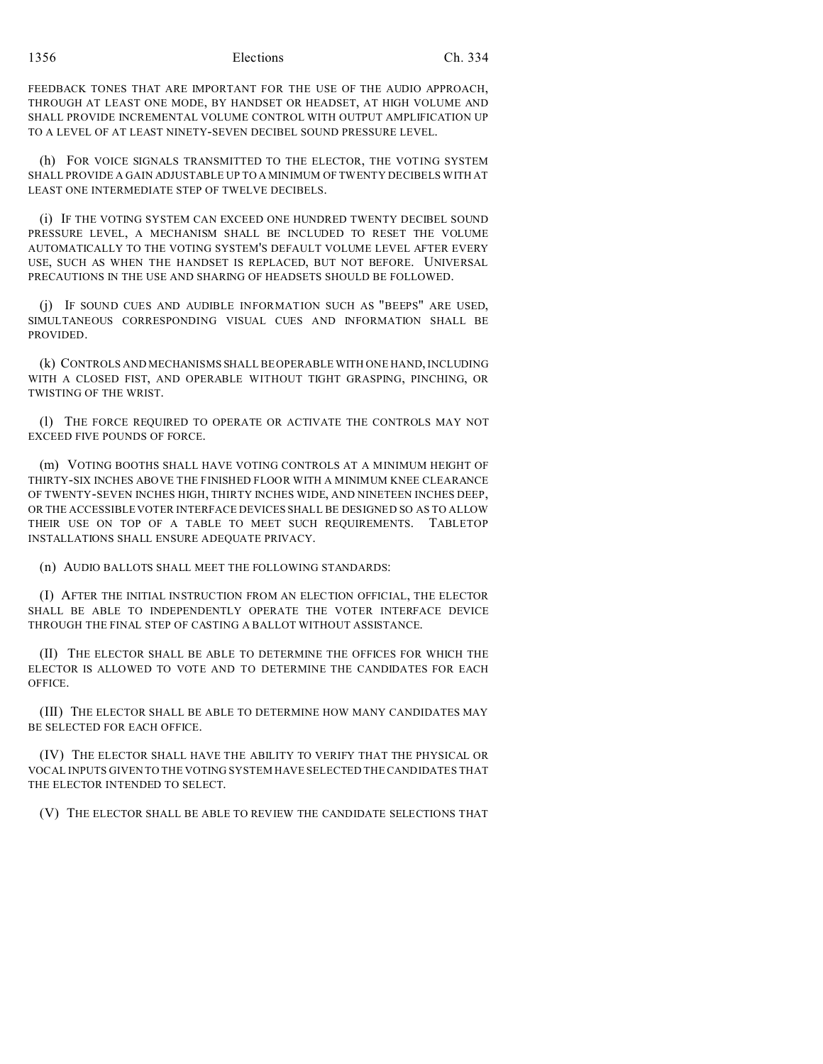1356 Elections Ch. 334

FEEDBACK TONES THAT ARE IMPORTANT FOR THE USE OF THE AUDIO APPROACH, THROUGH AT LEAST ONE MODE, BY HANDSET OR HEADSET, AT HIGH VOLUME AND SHALL PROVIDE INCREMENTAL VOLUME CONTROL WITH OUTPUT AMPLIFICATION UP TO A LEVEL OF AT LEAST NINETY-SEVEN DECIBEL SOUND PRESSURE LEVEL.

(h) FOR VOICE SIGNALS TRANSMITTED TO THE ELECTOR, THE VOTING SYSTEM SHALL PROVIDE A GAIN ADJUSTABLE UP TO A MINIMUM OF TWENTY DECIBELS WITH AT LEAST ONE INTERMEDIATE STEP OF TWELVE DECIBELS.

(i) IF THE VOTING SYSTEM CAN EXCEED ONE HUNDRED TWENTY DECIBEL SOUND PRESSURE LEVEL, A MECHANISM SHALL BE INCLUDED TO RESET THE VOLUME AUTOMATICALLY TO THE VOTING SYSTEM'S DEFAULT VOLUME LEVEL AFTER EVERY USE, SUCH AS WHEN THE HANDSET IS REPLACED, BUT NOT BEFORE. UNIVERSAL PRECAUTIONS IN THE USE AND SHARING OF HEADSETS SHOULD BE FOLLOWED.

(j) IF SOUND CUES AND AUDIBLE INFORMATION SUCH AS "BEEPS" ARE USED, SIMULTANEOUS CORRESPONDING VISUAL CUES AND INFORMATION SHALL BE PROVIDED.

(k) CONTROLS AND MECHANISMS SHALL BE OPERABLE WITH ONE HAND, INCLUDING WITH A CLOSED FIST, AND OPERABLE WITHOUT TIGHT GRASPING, PINCHING, OR TWISTING OF THE WRIST.

(l) THE FORCE REQUIRED TO OPERATE OR ACTIVATE THE CONTROLS MAY NOT EXCEED FIVE POUNDS OF FORCE.

(m) VOTING BOOTHS SHALL HAVE VOTING CONTROLS AT A MINIMUM HEIGHT OF THIRTY-SIX INCHES ABOVE THE FINISHED FLOOR WITH A MINIMUM KNEE CLEARANCE OF TWENTY-SEVEN INCHES HIGH, THIRTY INCHES WIDE, AND NINETEEN INCHES DEEP, OR THE ACCESSIBLE VOTER INTERFACE DEVICES SHALL BE DESIGNED SO AS TO ALLOW THEIR USE ON TOP OF A TABLE TO MEET SUCH REQUIREMENTS. TABLETOP INSTALLATIONS SHALL ENSURE ADEQUATE PRIVACY.

(n) AUDIO BALLOTS SHALL MEET THE FOLLOWING STANDARDS:

(I) AFTER THE INITIAL INSTRUCTION FROM AN ELECTION OFFICIAL, THE ELECTOR SHALL BE ABLE TO INDEPENDENTLY OPERATE THE VOTER INTERFACE DEVICE THROUGH THE FINAL STEP OF CASTING A BALLOT WITHOUT ASSISTANCE.

(II) THE ELECTOR SHALL BE ABLE TO DETERMINE THE OFFICES FOR WHICH THE ELECTOR IS ALLOWED TO VOTE AND TO DETERMINE THE CANDIDATES FOR EACH OFFICE.

(III) THE ELECTOR SHALL BE ABLE TO DETERMINE HOW MANY CANDIDATES MAY BE SELECTED FOR EACH OFFICE.

(IV) THE ELECTOR SHALL HAVE THE ABILITY TO VERIFY THAT THE PHYSICAL OR VOCAL INPUTS GIVEN TO THE VOTING SYSTEM HAVE SELECTED THE CANDIDATES THAT THE ELECTOR INTENDED TO SELECT.

(V) THE ELECTOR SHALL BE ABLE TO REVIEW THE CANDIDATE SELECTIONS THAT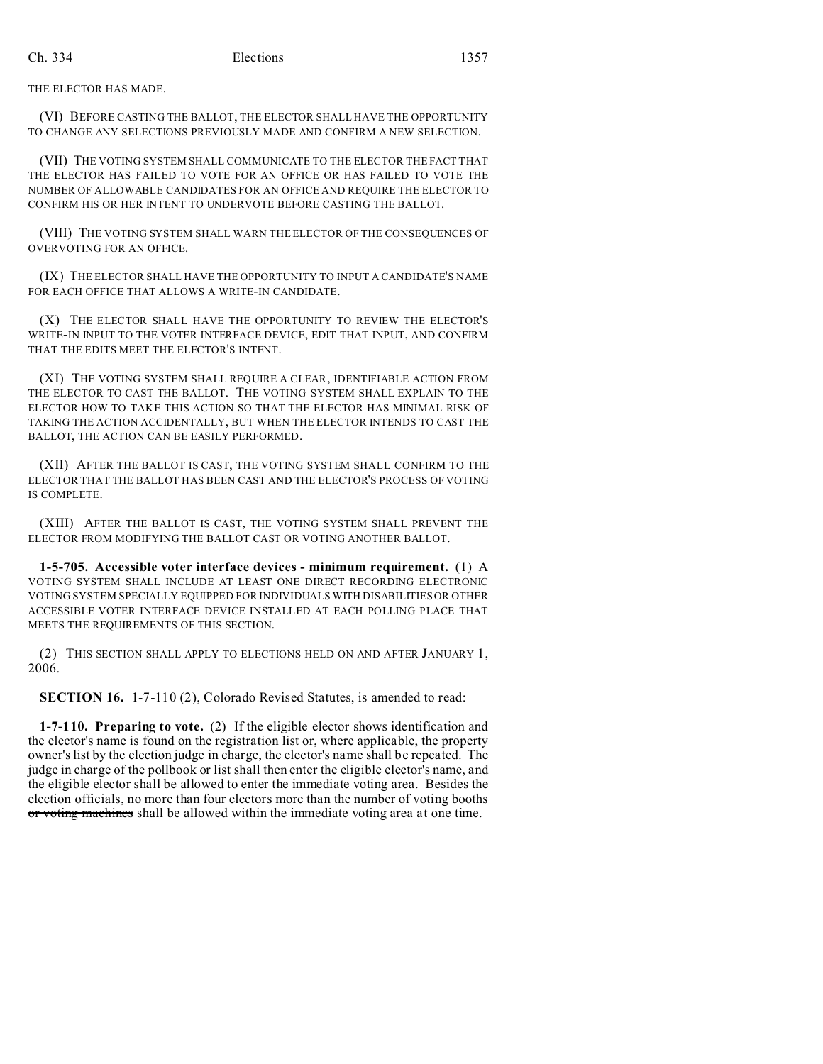THE ELECTOR HAS MADE.

(VI) BEFORE CASTING THE BALLOT, THE ELECTOR SHALL HAVE THE OPPORTUNITY TO CHANGE ANY SELECTIONS PREVIOUSLY MADE AND CONFIRM A NEW SELECTION.

(VII) THE VOTING SYSTEM SHALL COMMUNICATE TO THE ELECTOR THE FACT THAT THE ELECTOR HAS FAILED TO VOTE FOR AN OFFICE OR HAS FAILED TO VOTE THE NUMBER OF ALLOWABLE CANDIDATES FOR AN OFFICE AND REQUIRE THE ELECTOR TO CONFIRM HIS OR HER INTENT TO UNDERVOTE BEFORE CASTING THE BALLOT.

(VIII) THE VOTING SYSTEM SHALL WARN THE ELECTOR OF THE CONSEQUENCES OF OVERVOTING FOR AN OFFICE.

(IX) THE ELECTOR SHALL HAVE THE OPPORTUNITY TO INPUT A CANDIDATE'S NAME FOR EACH OFFICE THAT ALLOWS A WRITE-IN CANDIDATE.

(X) THE ELECTOR SHALL HAVE THE OPPORTUNITY TO REVIEW THE ELECTOR'S WRITE-IN INPUT TO THE VOTER INTERFACE DEVICE, EDIT THAT INPUT, AND CONFIRM THAT THE EDITS MEET THE ELECTOR'S INTENT.

(XI) THE VOTING SYSTEM SHALL REQUIRE A CLEAR, IDENTIFIABLE ACTION FROM THE ELECTOR TO CAST THE BALLOT. THE VOTING SYSTEM SHALL EXPLAIN TO THE ELECTOR HOW TO TAKE THIS ACTION SO THAT THE ELECTOR HAS MINIMAL RISK OF TAKING THE ACTION ACCIDENTALLY, BUT WHEN THE ELECTOR INTENDS TO CAST THE BALLOT, THE ACTION CAN BE EASILY PERFORMED.

(XII) AFTER THE BALLOT IS CAST, THE VOTING SYSTEM SHALL CONFIRM TO THE ELECTOR THAT THE BALLOT HAS BEEN CAST AND THE ELECTOR'S PROCESS OF VOTING IS COMPLETE.

(XIII) AFTER THE BALLOT IS CAST, THE VOTING SYSTEM SHALL PREVENT THE ELECTOR FROM MODIFYING THE BALLOT CAST OR VOTING ANOTHER BALLOT.

**1-5-705. Accessible voter interface devices - minimum requirement.** (1) A VOTING SYSTEM SHALL INCLUDE AT LEAST ONE DIRECT RECORDING ELECTRONIC VOTING SYSTEM SPECIALLY EQUIPPED FOR INDIVIDUALS WITH DISABILITIES OR OTHER ACCESSIBLE VOTER INTERFACE DEVICE INSTALLED AT EACH POLLING PLACE THAT MEETS THE REQUIREMENTS OF THIS SECTION.

(2) THIS SECTION SHALL APPLY TO ELECTIONS HELD ON AND AFTER JANUARY 1, 2006.

**SECTION 16.** 1-7-110 (2), Colorado Revised Statutes, is amended to read:

**1-7-110. Preparing to vote.** (2) If the eligible elector shows identification and the elector's name is found on the registration list or, where applicable, the property owner's list by the election judge in charge, the elector's name shall be repeated. The judge in charge of the pollbook or list shall then enter the eligible elector's name, and the eligible elector shall be allowed to enter the immediate voting area. Besides the election officials, no more than four electors more than the number of voting booths or voting machines shall be allowed within the immediate voting area at one time.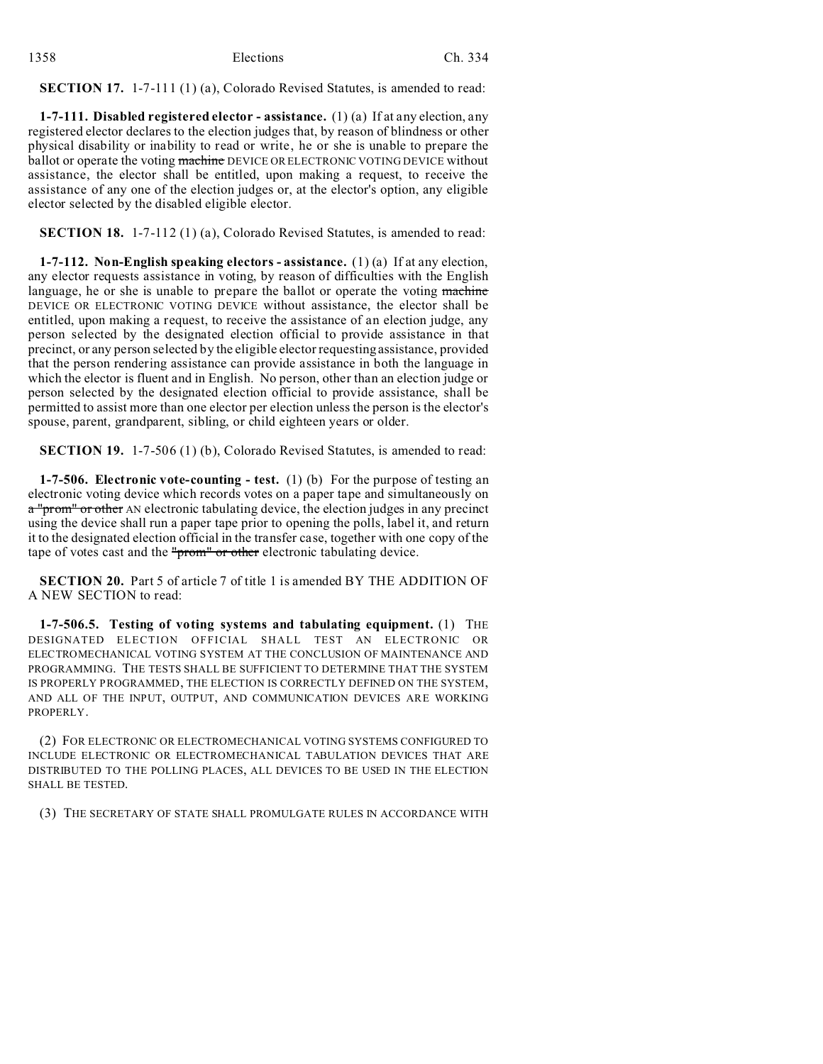## **SECTION 17.** 1-7-111 (1) (a), Colorado Revised Statutes, is amended to read:

**1-7-111. Disabled registered elector - assistance.** (1) (a) If at any election, any registered elector declares to the election judges that, by reason of blindness or other physical disability or inability to read or write, he or she is unable to prepare the ballot or operate the voting machine DEVICE OR ELECTRONIC VOTING DEVICE without assistance, the elector shall be entitled, upon making a request, to receive the assistance of any one of the election judges or, at the elector's option, any eligible elector selected by the disabled eligible elector.

**SECTION 18.** 1-7-112 (1) (a), Colorado Revised Statutes, is amended to read:

**1-7-112. Non-English speaking electors - assistance.** (1) (a) If at any election, any elector requests assistance in voting, by reason of difficulties with the English language, he or she is unable to prepare the ballot or operate the voting machine DEVICE OR ELECTRONIC VOTING DEVICE without assistance, the elector shall be entitled, upon making a request, to receive the assistance of an election judge, any person selected by the designated election official to provide assistance in that precinct, or any person selected by the eligible elector requesting assistance, provided that the person rendering assistance can provide assistance in both the language in which the elector is fluent and in English. No person, other than an election judge or person selected by the designated election official to provide assistance, shall be permitted to assist more than one elector per election unless the person is the elector's spouse, parent, grandparent, sibling, or child eighteen years or older.

**SECTION 19.** 1-7-506 (1) (b), Colorado Revised Statutes, is amended to read:

**1-7-506. Electronic vote-counting - test.** (1) (b) For the purpose of testing an electronic voting device which records votes on a paper tape and simultaneously on a "prom" or other AN electronic tabulating device, the election judges in any precinct using the device shall run a paper tape prior to opening the polls, label it, and return it to the designated election official in the transfer case, together with one copy of the tape of votes cast and the "prom" or other electronic tabulating device.

**SECTION 20.** Part 5 of article 7 of title 1 is amended BY THE ADDITION OF A NEW SECTION to read:

**1-7-506.5. Testing of voting systems and tabulating equipment.** (1) THE DESIGNATED ELECTION OFFICIAL SHALL TEST AN ELECTRONIC OR ELECTROMECHANICAL VOTING SYSTEM AT THE CONCLUSION OF MAINTENANCE AND PROGRAMMING. THE TESTS SHALL BE SUFFICIENT TO DETERMINE THAT THE SYSTEM IS PROPERLY PROGRAMMED, THE ELECTION IS CORRECTLY DEFINED ON THE SYSTEM, AND ALL OF THE INPUT, OUTPUT, AND COMMUNICATION DEVICES ARE WORKING PROPERLY.

(2) FOR ELECTRONIC OR ELECTROMECHANICAL VOTING SYSTEMS CONFIGURED TO INCLUDE ELECTRONIC OR ELECTROMECHANICAL TABULATION DEVICES THAT ARE DISTRIBUTED TO THE POLLING PLACES, ALL DEVICES TO BE USED IN THE ELECTION SHALL BE TESTED.

(3) THE SECRETARY OF STATE SHALL PROMULGATE RULES IN ACCORDANCE WITH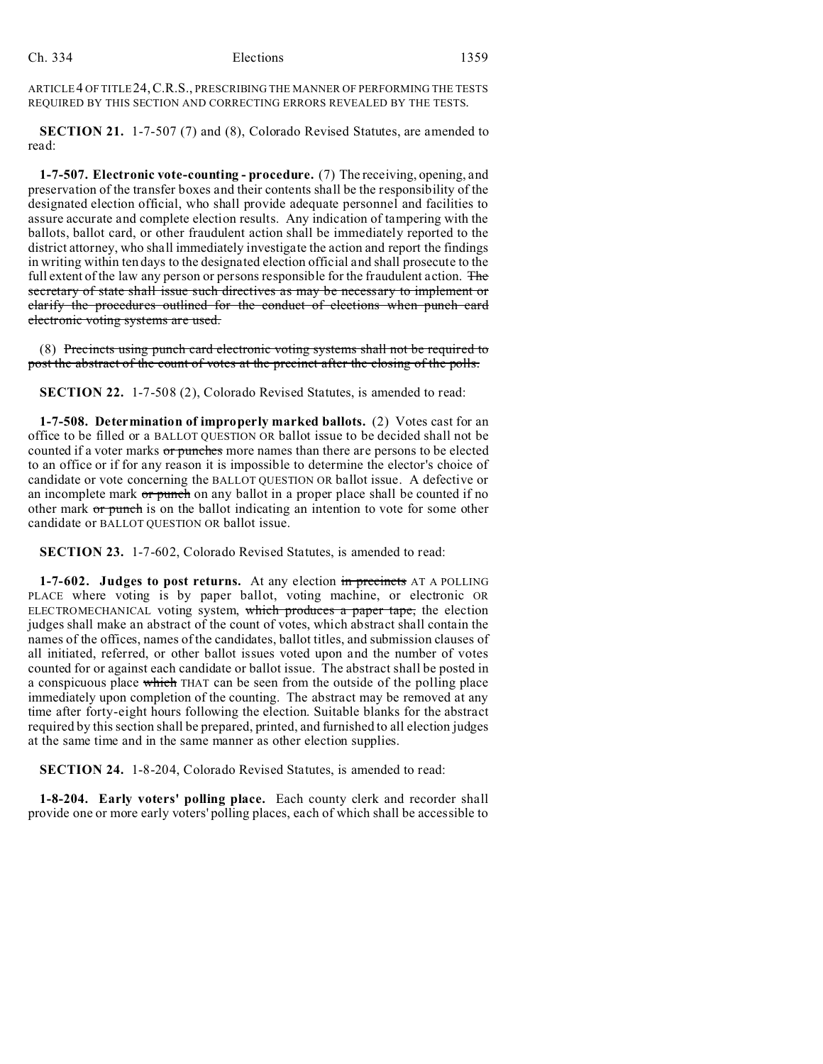ARTICLE 4 OF TITLE 24,C.R.S., PRESCRIBING THE MANNER OF PERFORMING THE TESTS REQUIRED BY THIS SECTION AND CORRECTING ERRORS REVEALED BY THE TESTS.

**SECTION 21.** 1-7-507 (7) and (8), Colorado Revised Statutes, are amended to read:

**1-7-507. Electronic vote-counting - procedure.** (7) The receiving, opening, and preservation of the transfer boxes and their contents shall be the responsibility of the designated election official, who shall provide adequate personnel and facilities to assure accurate and complete election results. Any indication of tampering with the ballots, ballot card, or other fraudulent action shall be immediately reported to the district attorney, who shall immediately investigate the action and report the findings in writing within ten days to the designated election official and shall prosecute to the full extent of the law any person or persons responsible for the fraudulent action. The secretary of state shall issue such directives as may be necessary to implement or clarify the procedures outlined for the conduct of elections when punch card electronic voting systems are used.

(8) Precincts using punch card electronic voting systems shall not be required to post the abstract of the count of votes at the precinct after the closing of the polls.

**SECTION 22.** 1-7-508 (2), Colorado Revised Statutes, is amended to read:

**1-7-508. Determination of improperly marked ballots.** (2) Votes cast for an office to be filled or a BALLOT QUESTION OR ballot issue to be decided shall not be counted if a voter marks or punches more names than there are persons to be elected to an office or if for any reason it is impossible to determine the elector's choice of candidate or vote concerning the BALLOT QUESTION OR ballot issue. A defective or an incomplete mark or punch on any ballot in a proper place shall be counted if no other mark or punch is on the ballot indicating an intention to vote for some other candidate or BALLOT QUESTION OR ballot issue.

**SECTION 23.** 1-7-602, Colorado Revised Statutes, is amended to read:

**1-7-602.** Judges to post returns. At any election in precincts AT A POLLING PLACE where voting is by paper ballot, voting machine, or electronic OR ELECTROMECHANICAL voting system, which produces a paper tape, the election judges shall make an abstract of the count of votes, which abstract shall contain the names of the offices, names of the candidates, ballot titles, and submission clauses of all initiated, referred, or other ballot issues voted upon and the number of votes counted for or against each candidate or ballot issue. The abstract shall be posted in a conspicuous place which THAT can be seen from the outside of the polling place immediately upon completion of the counting. The abstract may be removed at any time after forty-eight hours following the election. Suitable blanks for the abstract required by this section shall be prepared, printed, and furnished to all election judges at the same time and in the same manner as other election supplies.

**SECTION 24.** 1-8-204, Colorado Revised Statutes, is amended to read:

**1-8-204. Early voters' polling place.** Each county clerk and recorder shall provide one or more early voters' polling places, each of which shall be accessible to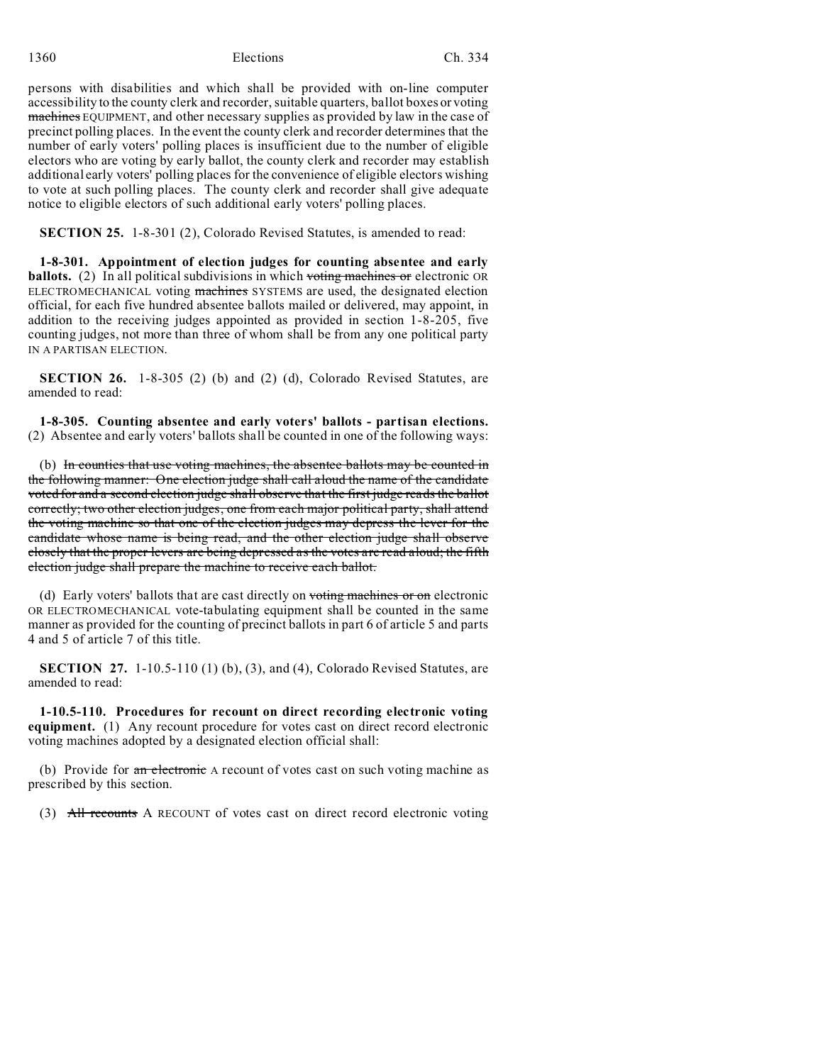1360 Elections Ch. 334

persons with disabilities and which shall be provided with on-line computer accessibility to the county clerk and recorder, suitable quarters, ballot boxes or voting machines EQUIPMENT, and other necessary supplies as provided by law in the case of precinct polling places. In the event the county clerk and recorder determines that the number of early voters' polling places is insufficient due to the number of eligible electors who are voting by early ballot, the county clerk and recorder may establish additional early voters' polling places for the convenience of eligible electors wishing to vote at such polling places. The county clerk and recorder shall give adequate notice to eligible electors of such additional early voters' polling places.

**SECTION 25.** 1-8-301 (2), Colorado Revised Statutes, is amended to read:

**1-8-301. Appointment of election judges for counting absentee and early ballots.** (2) In all political subdivisions in which voting machines or electronic OR ELECTROMECHANICAL voting machines SYSTEMS are used, the designated election official, for each five hundred absentee ballots mailed or delivered, may appoint, in addition to the receiving judges appointed as provided in section 1-8-205, five counting judges, not more than three of whom shall be from any one political party IN A PARTISAN ELECTION.

**SECTION 26.** 1-8-305 (2) (b) and (2) (d), Colorado Revised Statutes, are amended to read:

**1-8-305. Counting absentee and early voters' ballots - partisan elections.** (2) Absentee and early voters' ballots shall be counted in one of the following ways:

(b) In counties that use voting machines, the absentee ballots may be counted in the following manner: One election judge shall call aloud the name of the candidate voted for and a second election judge shall observe that the first judge reads the ballot correctly; two other election judges, one from each major political party, shall attend the voting machine so that one of the election judges may depress the lever for the candidate whose name is being read, and the other election judge shall observe closely that the proper levers are being depressed as the votes are read aloud; the fifth election judge shall prepare the machine to receive each ballot.

(d) Early voters' ballots that are cast directly on voting machines or on electronic OR ELECTROMECHANICAL vote-tabulating equipment shall be counted in the same manner as provided for the counting of precinct ballots in part 6 of article 5 and parts 4 and 5 of article 7 of this title.

**SECTION 27.** 1-10.5-110 (1) (b), (3), and (4), Colorado Revised Statutes, are amended to read:

**1-10.5-110. Procedures for recount on direct recording electronic voting equipment.** (1) Any recount procedure for votes cast on direct record electronic voting machines adopted by a designated election official shall:

(b) Provide for an electronic A recount of votes cast on such voting machine as prescribed by this section.

(3) All recounts A RECOUNT of votes cast on direct record electronic voting